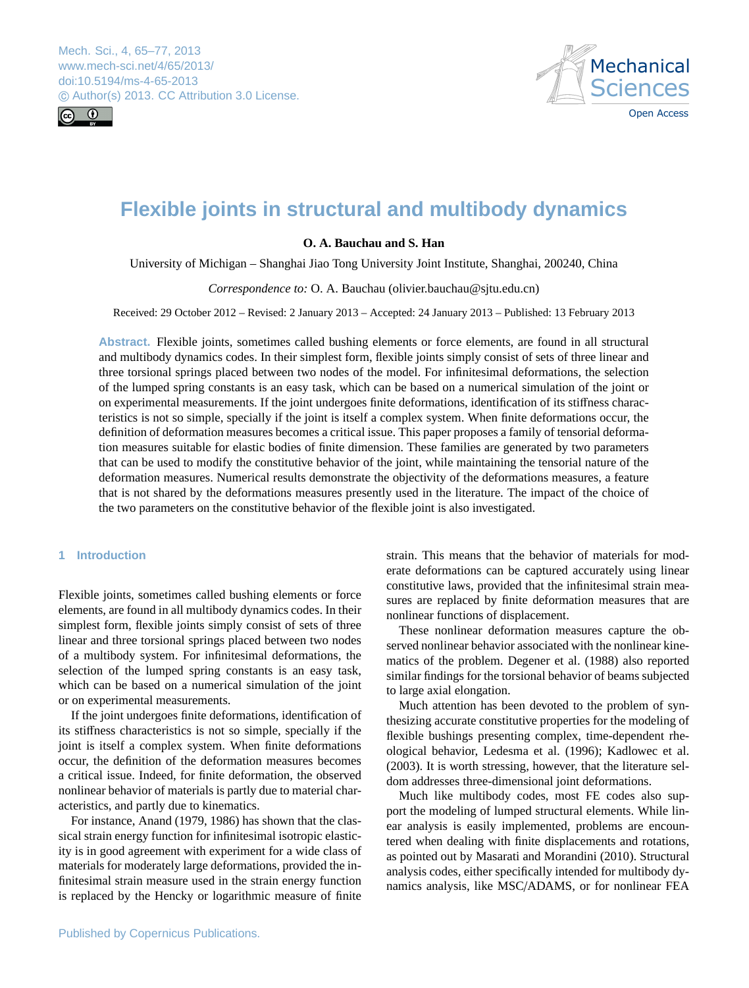<span id="page-0-0"></span>Mech. Sci., 4, 65–77, 2013 www.mech-sci.net/4/65/2013/ doi:10.5194/ms-4-65-2013 © Author(s) 2013. CC Attribution 3.0 License.





# **Flexible joints in structural and multibody dynamics**

# **O. A. Bauchau and S. Han**

University of Michigan – Shanghai Jiao Tong University Joint Institute, Shanghai, 200240, China

*Correspondence to:* O. A. Bauchau (olivier.bauchau@sjtu.edu.cn)

Received: 29 October 2012 – Revised: 2 January 2013 – Accepted: 24 January 2013 – Published: 13 February 2013

**Abstract.** Flexible joints, sometimes called bushing elements or force elements, are found in all structural and multibody dynamics codes. In their simplest form, flexible joints simply consist of sets of three linear and three torsional springs placed between two nodes of the model. For infinitesimal deformations, the selection of the lumped spring constants is an easy task, which can be based on a numerical simulation of the joint or on experimental measurements. If the joint undergoes finite deformations, identification of its stiffness characteristics is not so simple, specially if the joint is itself a complex system. When finite deformations occur, the definition of deformation measures becomes a critical issue. This paper proposes a family of tensorial deformation measures suitable for elastic bodies of finite dimension. These families are generated by two parameters that can be used to modify the constitutive behavior of the joint, while maintaining the tensorial nature of the deformation measures. Numerical results demonstrate the objectivity of the deformations measures, a feature that is not shared by the deformations measures presently used in the literature. The impact of the choice of the two parameters on the constitutive behavior of the flexible joint is also investigated.

# **1 Introduction**

Flexible joints, sometimes called bushing elements or force elements, are found in all multibody dynamics codes. In their simplest form, flexible joints simply consist of sets of three linear and three torsional springs placed between two nodes of a multibody system. For infinitesimal deformations, the selection of the lumped spring constants is an easy task, which can be based on a numerical simulation of the joint or on experimental measurements.

If the joint undergoes finite deformations, identification of its stiffness characteristics is not so simple, specially if the joint is itself a complex system. When finite deformations occur, the definition of the deformation measures becomes a critical issue. Indeed, for finite deformation, the observed nonlinear behavior of materials is partly due to material characteristics, and partly due to kinematics.

For instance, [Anand](#page-11-0) [\(1979,](#page-11-0) [1986\)](#page-11-1) has shown that the classical strain energy function for infinitesimal isotropic elasticity is in good agreement with experiment for a wide class of materials for moderately large deformations, provided the infinitesimal strain measure used in the strain energy function is replaced by the Hencky or logarithmic measure of finite

strain. This means that the behavior of materials for moderate deformations can be captured accurately using linear constitutive laws, provided that the infinitesimal strain measures are replaced by finite deformation measures that are nonlinear functions of displacement.

These nonlinear deformation measures capture the observed nonlinear behavior associated with the nonlinear kinematics of the problem. [Degener et al.](#page-11-2) [\(1988\)](#page-11-2) also reported similar findings for the torsional behavior of beams subjected to large axial elongation.

Much attention has been devoted to the problem of synthesizing accurate constitutive properties for the modeling of flexible bushings presenting complex, time-dependent rheological behavior, [Ledesma et al.](#page-12-0) [\(1996\)](#page-12-0); [Kadlowec et al.](#page-12-1) [\(2003\)](#page-12-1). It is worth stressing, however, that the literature seldom addresses three-dimensional joint deformations.

Much like multibody codes, most FE codes also support the modeling of lumped structural elements. While linear analysis is easily implemented, problems are encountered when dealing with finite displacements and rotations, as pointed out by [Masarati and Morandini](#page-12-2) [\(2010\)](#page-12-2). Structural analysis codes, either specifically intended for multibody dynamics analysis, like MSC/ADAMS, or for nonlinear FEA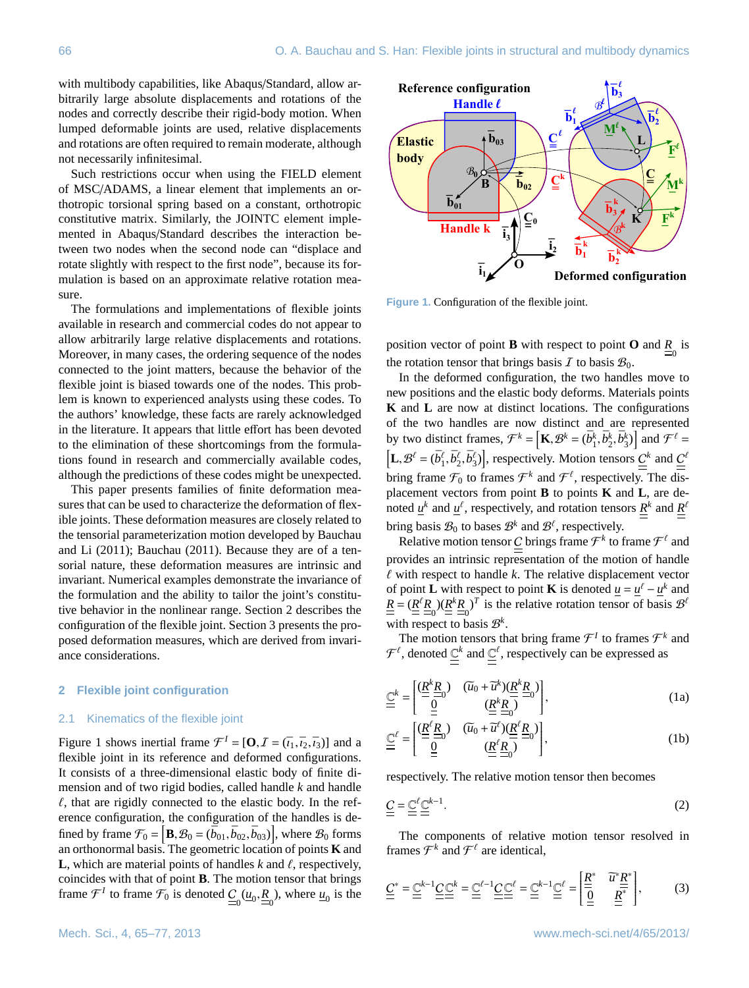with multibody capabilities, like Abaqus/Standard, allow arbitrarily large absolute displacements and rotations of the nodes and correctly describe their rigid-body motion. When lumped deformable joints are used, relative displacements and rotations are often required to remain moderate, although not necessarily infinitesimal.

Such restrictions occur when using the FIELD element of MSC/ADAMS, a linear element that implements an orthotropic torsional spring based on a constant, orthotropic constitutive matrix. Similarly, the JOINTC element implemented in Abaqus/Standard describes the interaction between two nodes when the second node can "displace and rotate slightly with respect to the first node", because its formulation is based on an approximate relative rotation measure.

The formulations and implementations of flexible joints available in research and commercial codes do not appear to allow arbitrarily large relative displacements and rotations. Moreover, in many cases, the ordering sequence of the nodes connected to the joint matters, because the behavior of the flexible joint is biased towards one of the nodes. This problem is known to experienced analysts using these codes. To the authors' knowledge, these facts are rarely acknowledged in the literature. It appears that little effort has been devoted to the elimination of these shortcomings from the formulations found in research and commercially available codes, although the predictions of these codes might be unexpected.

This paper presents families of finite deformation measures that can be used to characterize the deformation of flexible joints. These deformation measures are closely related to the tensorial parameterization motion developed by [Bauchau](#page-11-3) [and Li](#page-11-3) [\(2011\)](#page-11-3); [Bauchau](#page-11-4) [\(2011\)](#page-11-4). Because they are of a tensorial nature, these deformation measures are intrinsic and invariant. Numerical examples demonstrate the invariance of the formulation and the ability to tailor the joint's constitutive behavior in the nonlinear range. Section [2](#page-1-0) describes the configuration of the flexible joint. Section [3](#page-2-0) presents the proposed deformation measures, which are derived from invariance considerations.

## <span id="page-1-0"></span>**2 Flexible joint configuration**

#### 2.1 Kinematics of the flexible joint

Figure [1](#page-1-1) shows inertial frame  $\mathcal{F}^I = [\mathbf{O}, \mathcal{I} = (\bar{\imath}_1, \bar{\imath}_2, \bar{\imath}_3)]$  and a flexible joint in its reference and deformed configurations flexible joint in its reference and deformed configurations. It consists of a three-dimensional elastic body of finite dimension and of two rigid bodies, called handle *k* and handle  $\ell$ , that are rigidly connected to the elastic body. In the reference configuration, the configuration of the handles is defined by frame  $\mathcal{F}_0 = [\mathbf{B}, \mathcal{B}_0 = (\bar{b}_{01}, \bar{b}_{02}, \bar{b}_{03})]$ , where  $\mathcal{B}_0$  forms an orthonormal basis. The geometric location of points **K** and an orthonormal basis. The geometric location of points **K** and **L**, which are material points of handles  $k$  and  $\ell$ , respectively, coincides with that of point **B**. The motion tensor that brings frame  $\mathcal{F}^I$  to frame  $\mathcal{F}_0$  is denoted  $\underline{\underline{C}}_0(\underline{u}_0, \underline{R}_0)$ , where  $\underline{u}_0$  is the



<span id="page-1-1"></span>**Figure 1.** Configuration of the flexible joint.

position vector of point **B** with respect to point **O** and  $\frac{R}{=}$  is the rotation tensor that brings basis  $\mathcal I$  to basis  $\mathcal B_0$ .

In the deformed configuration, the two handles move to new positions and the elastic body deforms. Materials points **K** and **L** are now at distinct locations. The configurations of the two handles are now distinct and are represented by two distinct frames,  $\mathcal{F}^k = \left[ \mathbf{K}, \mathcal{B}^k = (\bar{b}_1^k, \bar{b}_2^k, \bar{b}_3^k) \right]$  and  $\mathcal{F}^\ell = \left[ \mathbf{K}, \mathcal{B}^k = (\bar{b}_1^k, \bar{b}_2^k, \bar{b}_3^k) \right]$  $\left[L, \mathcal{B}^{\ell} = (\bar{b}^{\ell}_1, \bar{b}^{\ell}_2, \bar{b}^{\ell}_3)\right]$ , respectively. Motion tensors  $\underline{\underline{C}}^k$  and  $\underline{\underline{C}}^{\ell}$ bring frame  $\mathcal{F}_0$  to frames  $\mathcal{F}^k$  and  $\mathcal{F}^{\ell}$ , respectively. The displacement vectors from point **B** to points **K** and **L**, are denoted  $\underline{u}^k$  and  $\underline{u}^{\ell}$ , respectively, and rotation tensors  $\underline{R}^k$  and  $\underline{R}^{\ell}$ bring basis  $\mathcal{B}_0$  to bases  $\mathcal{B}^k$  and  $\mathcal{B}^{\ell}$ , respectively.

Relative motion tensor <u>C</u> brings frame  $\mathcal{F}^k$  to frame  $\mathcal{F}^\ell$  and provides an intrinsic representation of the motion of handle  $\ell$  with respect to handle  $k$ . The relative displacement vector of point **L** with respect to point **K** is denoted  $\underline{u} = \underline{u}^{\ell} - \underline{u}^k$  and  $\underline{R} = (\underline{R}^{\ell} \underline{R}_{0}) (\underline{R}^{k} \underline{R}_{0})^{T}$  is the relative rotation tensor of basis  $\mathcal{B}^{\ell}$ with respect to basis  $\mathcal{B}^k$ .

The motion tensors that bring frame  $\mathcal{F}^I$  to frames  $\mathcal{F}^k$  and  $\mathcal{F}^{\ell}$ , denoted  $\underline{\mathbb{C}}^{\ell}$  and  $\underline{\mathbb{C}}^{\ell}$ , respectively can be expressed as

$$
\underline{\underline{C}}^{k} = \left[ \frac{(\underline{R}^{k} \underline{R})}{\underline{0}} 0 \quad (\widetilde{u}_{0} + \widetilde{u}^{k})(\underline{R}^{k} \underline{R})}{(\underline{R}^{k} \underline{R})} 0 \right],
$$
\n(1a)

$$
\underline{\underline{C}}^{\ell} = \left[ \frac{(\underline{R}^{\ell} \underline{R})}{\underline{0}} \quad (\overline{u}_0 + \overline{u}^{\ell})(\underline{R}^{\ell} \underline{R}) \over (\underline{R}^{\ell} \underline{R}) \right],
$$
\n(1b)

respectively. The relative motion tensor then becomes

$$
\underline{\underline{C}} = \underline{\underline{C}}^{\ell} \underline{\underline{C}}^{k-1}.
$$
\n(2)

<span id="page-1-2"></span>The components of relative motion tensor resolved in frames  $\mathcal{F}^k$  and  $\mathcal{F}^\ell$  are identical,

$$
\underline{\underline{C}}^* = \underline{\underline{C}}^{k-1} \underline{\underline{C}} \underline{\underline{C}}^k = \underline{\underline{C}}^{\ell-1} \underline{\underline{C}} \underline{\underline{C}}^{\ell} = \underline{\underline{C}}^{k-1} \underline{\underline{C}}^{\ell} = \left[ \frac{\underline{R}}{\underline{0}}^* \quad \overline{\widetilde{u}}^* \underline{\underline{R}}^* \right],\tag{3}
$$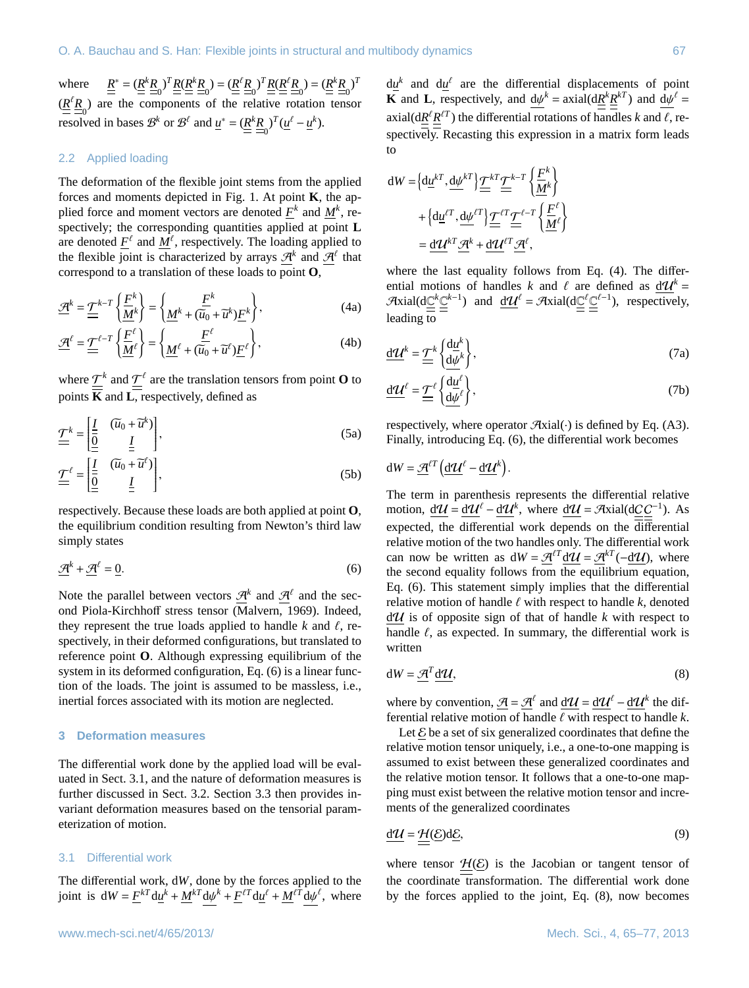where  $\underline{R}^* = (\underline{R}^k \underline{R})^T \underline{R} (\underline{R}^k \underline{R}) = (\underline{R}^{\ell} \underline{R})^T \underline{R} (\underline{R}^{\ell} \underline{R}) = (\underline{R}^k \underline{R})^T$  $(\underline{R}^t \underline{R})$  are the components of the relative rotation tensor resolved in bases  $\mathcal{B}^k$  or  $\mathcal{B}^\ell$  and  $\underline{u}^* = (\underline{R}^k \underline{R}_0)^T (\underline{u}^\ell - \underline{u}^k)$ .

# 2.2 Applied loading

The deformation of the flexible joint stems from the applied forces and moments depicted in Fig. [1.](#page-1-1) At point **K**, the applied force and moment vectors are denoted  $\underline{F}^k$  and  $\underline{M}^k$ , respectively; the corresponding quantities applied at point **L** are denoted  $\underline{F}^{\ell}$  and  $\underline{M}^{\ell}$ , respectively. The loading applied to the flexible joint is characterized by arrays  $\mathcal{A}^k$  and  $\mathcal{A}^{\ell}$  that correspond to a translation of these loads to point **O**,

$$
\underline{\mathcal{A}}^k = \underline{\underline{\mathcal{T}}}^{k-T} \left\{ \underline{\underline{M}}^k \right\} = \left\{ \underline{\underline{M}}^k + (\overline{\widetilde{u}_0} + \widetilde{u}^k) \underline{\underline{F}}^k \right\},\tag{4a}
$$

$$
\underline{\mathcal{A}}^{\ell} = \underline{\underline{\mathcal{T}}}^{\ell - T} \left\{ \frac{\underline{F}^{\ell}}{\underline{M}} \right\} = \left\{ \underline{\underline{M}}^{\ell} + (\overline{\widetilde{u_0}} + \widetilde{u}^{\ell}) \underline{F}^{\ell} \right\},\tag{4b}
$$

where  $\underline{\mathcal{T}}^k$  and  $\underline{\mathcal{T}}^{\ell}$  are the translation tensors from point **O** to points **K** and **L**, respectively, defined as

$$
\underline{\underline{\mathcal{T}}^k} = \left[ \underline{\underline{\underline{I}} \quad (\widetilde{u}_0 + \widetilde{u}^k) \right],\tag{5a}
$$

$$
\underline{\underline{\mathcal{T}}}^{\ell} = \left[ \underline{\underline{\underline{I}}}_{\underline{\underline{\underline{I}}}} \quad \underline{\widetilde{u}}_0 + \widetilde{\underline{u}}^{\ell} \right],\tag{5b}
$$

<span id="page-2-1"></span>respectively. Because these loads are both applied at point **O**, the equilibrium condition resulting from Newton's third law simply states

$$
\underline{\mathcal{A}}^k + \underline{\mathcal{A}}^\ell = \underline{0}.\tag{6}
$$

Note the parallel between vectors  $\mathcal{A}^k$  and  $\mathcal{A}^{\ell}$  and the second Piola-Kirchhoff stress tensor [\(Malvern,](#page-12-3) [1969\)](#page-12-3). Indeed, they represent the true loads applied to handle  $k$  and  $\ell$ , respectively, in their deformed configurations, but translated to reference point **O**. Although expressing equilibrium of the system in its deformed configuration, Eq. [\(6\)](#page-2-1) is a linear function of the loads. The joint is assumed to be massless, i.e., inertial forces associated with its motion are neglected.

## <span id="page-2-0"></span>**3 Deformation measures**

The differential work done by the applied load will be evaluated in Sect. [3.1,](#page-2-2) and the nature of deformation measures is further discussed in Sect. [3.2.](#page-3-0) Section [3.3](#page-3-1) then provides invariant deformation measures based on the tensorial parameterization of motion.

## <span id="page-2-2"></span>3.1 Differential work

The differential work, d*W*, done by the forces applied to the joint is  $dW = \underline{F}^{kT} d\underline{u}^k + \underline{M}^{kT} d\underline{w}^k + \underline{F}^{lT} d\underline{u}^l + \underline{M}^{lT} d\underline{w}^l$ , where

 $d\underline{u}^k$  and  $d\underline{u}^{\ell}$  are the differential displacements of point **K** and **L**, respectively, and  $d\psi^k = \text{axial}(d\underline{R}^k \underline{R}^{kT})$  and  $d\psi^{\ell} = \text{axial}(d\overline{R}^k \underline{R}^{kT})$  $\text{axial}(\text{d}\text{R}^{\ell}\text{R}^{\ell})$  the differential rotations of handles *k* and  $\ell$ , re-<br> **Constitution Personian** this expression in a matrix form loads spectively. Recasting this expression in a matrix form leads to

$$
dW = \left\{ d\underline{u}^{kT}, \underline{d}\underline{\psi}^{kT} \right\} \underline{\underline{T}}^{kT} \underline{\underline{T}}^{k-T} \left\{ \frac{\underline{F}^k}{\underline{M}^k} \right\} + \left\{ d\underline{u}^{\ell T}, \underline{d}\underline{\psi}^{\ell T} \right\} \underline{\underline{T}}^{\ell T} \underline{\underline{T}}^{\ell - T} \left\{ \frac{\underline{F}^{\ell}}{\underline{M}^{\ell}} \right\} = \underline{d}\underline{\mathcal{U}}^{kT} \underline{\mathcal{A}}^k + \underline{d}\underline{\mathcal{U}}^{\ell T} \underline{\mathcal{A}}^{\ell},
$$

<span id="page-2-3"></span>where the last equality follows from Eq. [\(4\)](#page-2-3). The differential motions of handles *k* and  $\ell$  are defined as  $d\mathcal{U}^k =$  $\mathcal{A}$ xial(d $\underline{\mathbb{C}}^k \underline{\mathbb{C}}^{k-1}$ ) and  $\underline{\mathbf{d}} \underline{\mathbf{u}}^{\ell} = \mathcal{A}$ xial(d $\underline{\mathbb{C}}^{\ell} \underline{\mathbb{C}}^{\ell-1}$ ), respectively, leading to

<span id="page-2-5"></span>
$$
\underline{\mathbf{d}}\underline{\mathbf{u}}^k = \underline{\underline{\mathbf{T}}}^k \left\{ \frac{\mathbf{d}\underline{\mathbf{u}}^k}{\mathbf{d}\underline{\mathbf{v}}^k} \right\},\tag{7a}
$$

<span id="page-2-6"></span>
$$
\underline{\mathbf{d}}\underline{\mathbf{u}}^{\ell} = \underline{\underline{\mathbf{T}}}^{\ell} \left\{ \frac{\mathbf{d}\underline{\mathbf{u}}^{\ell}}{\mathbf{d}\underline{\mathbf{v}}^{\ell}} \right\},\tag{7b}
$$

respectively, where operator  $\mathcal{A}$ xial $(\cdot)$  is defined by Eq. [\(A3\)](#page-10-0). Finally, introducing Eq. [\(6\)](#page-2-1), the differential work becomes

$$
dW = \underline{\mathcal{A}}^{\ell T} \left( \underline{d} \underline{\mathcal{U}}^{\ell} - \underline{d} \underline{\mathcal{U}}^k \right).
$$

The term in parenthesis represents the differential relative motion,  $d\mathcal{U} = d\mathcal{U}^{\ell} - d\mathcal{U}^{k}$ , where  $d\mathcal{U} = \mathcal{A}$ xial( $d\underline{C}\underline{C}^{-1}$ ). As expected, the differential work depends on the  $\overline{\text{differential}}$ relative motion of the two handles only. The differential work can now be written as  $dW = \mathcal{A}^{tT} dU = \mathcal{A}^{kT} (-dU)$ , where the second equality follows from the equilibrium equation, Eq. [\(6\)](#page-2-1). This statement simply implies that the differential relative motion of handle  $\ell$  with respect to handle  $k$ , denoted  $d\mathcal{U}$  is of opposite sign of that of handle k with respect to handle  $\ell$ , as expected. In summary, the differential work is written

<span id="page-2-4"></span>
$$
dW = \underline{\mathcal{A}}^T \underline{d\mathcal{U}},\tag{8}
$$

where by convention,  $\underline{\mathcal{A}} = \underline{\mathcal{A}}^{\ell}$  and  $\underline{\mathcal{d}}\mathcal{U} = \underline{\mathcal{d}}\mathcal{U}^{\ell} - \underline{\mathcal{d}}\mathcal{U}^k$  the differential relative motion of handle  $\ell$  with respect to handle  $k$ .

Let  $\mathcal E$  be a set of six generalized coordinates that define the relative motion tensor uniquely, i.e., a one-to-one mapping is assumed to exist between these generalized coordinates and the relative motion tensor. It follows that a one-to-one mapping must exist between the relative motion tensor and increments of the generalized coordinates

$$
\underline{\mathbf{d}}\underline{\mathbf{u}} = \underline{\underline{\mathbf{H}}}(\underline{\mathbf{E}})\mathbf{d}\underline{\mathbf{E}},\tag{9}
$$

where tensor  $H(\mathcal{E})$  is the Jacobian or tangent tensor of the coordinate transformation. The differential work done by the forces applied to the joint, Eq. [\(8\)](#page-2-4), now becomes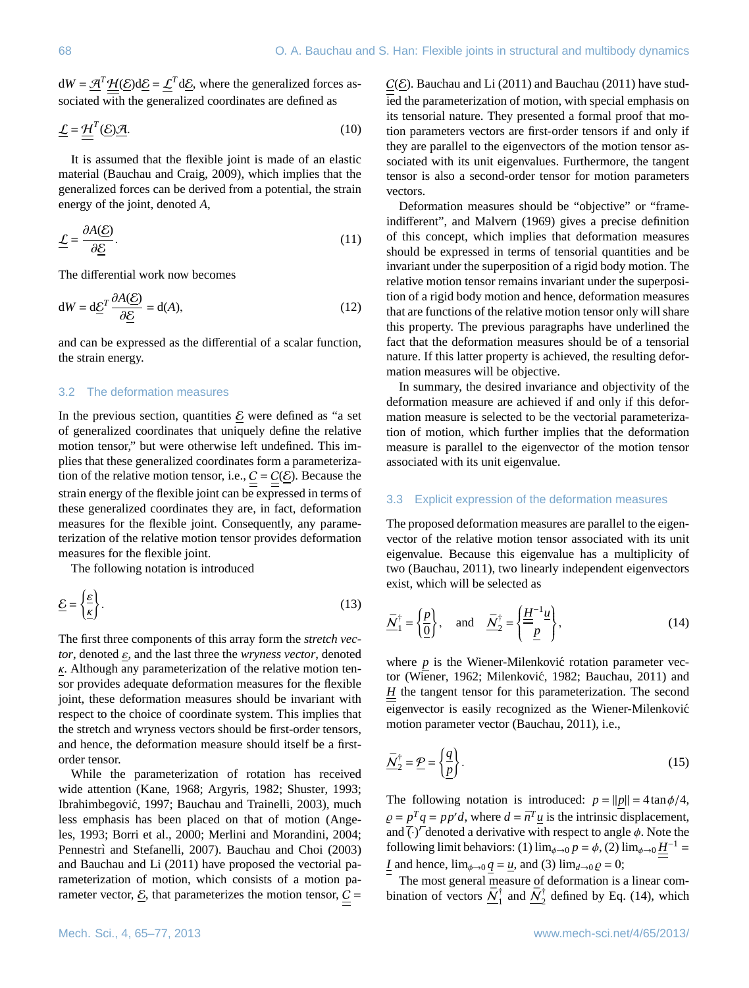$dW = \mathcal{H}^T \mathcal{H}(\mathcal{E}) d\mathcal{E} = \mathcal{L}^T d\mathcal{E}$ , where the generalized forces associated with the generalized coordinates are defined as

$$
\underline{\mathcal{L}} = \underline{\mathcal{H}}^T(\underline{\mathcal{E}})\underline{\mathcal{A}}.\tag{10}
$$

It is assumed that the flexible joint is made of an elastic material [\(Bauchau and Craig,](#page-11-5) [2009\)](#page-11-5), which implies that the generalized forces can be derived from a potential, the strain energy of the joint, denoted *A*,

$$
\underline{\mathcal{L}} = \frac{\partial A(\underline{\mathcal{E}})}{\partial \underline{\mathcal{E}}}.\tag{11}
$$

The differential work now becomes

$$
dW = d\underline{\mathcal{E}}^T \frac{\partial A(\underline{\mathcal{E}})}{\partial \underline{\mathcal{E}}} = d(A),\tag{12}
$$

and can be expressed as the differential of a scalar function, the strain energy.

## <span id="page-3-0"></span>3.2 The deformation measures

In the previous section, quantities  $\mathcal E$  were defined as "a set of generalized coordinates that uniquely define the relative motion tensor," but were otherwise left undefined. This implies that these generalized coordinates form a parameterization of the relative motion tensor, i.e.,  $\underline{C} = \underline{C}(\underline{E})$ . Because the strain energy of the flexible joint can be expressed in terms of these generalized coordinates they are, in fact, deformation measures for the flexible joint. Consequently, any parameterization of the relative motion tensor provides deformation measures for the flexible joint.

The following notation is introduced

$$
\underline{\mathcal{E}} = \left\{ \frac{\underline{\mathcal{E}}}{\underline{\mathcal{K}}} \right\}.
$$
 (13)

The first three components of this array form the *stretch vec* $tor$ , denoted  $\varepsilon$ , and the last three the *wryness vector*, denoted  $\kappa$ . Although any parameterization of the relative motion tensor provides adequate deformation measures for the flexible joint, these deformation measures should be invariant with respect to the choice of coordinate system. This implies that the stretch and wryness vectors should be first-order tensors, and hence, the deformation measure should itself be a firstorder tensor.

While the parameterization of rotation has received wide attention [\(Kane,](#page-12-4) [1968;](#page-12-4) [Argyris,](#page-11-6) [1982;](#page-11-6) [Shuster,](#page-12-5) [1993;](#page-12-5) [Ibrahimbegovic´,](#page-12-6) [1997;](#page-12-6) [Bauchau and Trainelli,](#page-11-7) [2003\)](#page-11-7), much less emphasis has been placed on that of motion [\(Ange](#page-11-8)[les,](#page-11-8) [1993;](#page-11-8) [Borri et al.,](#page-11-9) [2000;](#page-11-9) [Merlini and Morandini,](#page-12-7) [2004;](#page-12-7) Pennestrì and Stefanelli, [2007\)](#page-12-8). [Bauchau and Choi](#page-11-10) [\(2003\)](#page-11-10) and [Bauchau and Li](#page-11-3) [\(2011\)](#page-11-3) have proposed the vectorial parameterization of motion, which consists of a motion parameter vector,  $\underline{\mathcal{E}}$ , that parameterizes the motion tensor,  $\underline{\mathcal{C}}$  =

 $C(\mathcal{E})$ . [Bauchau and Li](#page-11-3) [\(2011\)](#page-11-4) and [Bauchau](#page-11-4) (2011) have studied the parameterization of motion, with special emphasis on its tensorial nature. They presented a formal proof that motion parameters vectors are first-order tensors if and only if they are parallel to the eigenvectors of the motion tensor associated with its unit eigenvalues. Furthermore, the tangent tensor is also a second-order tensor for motion parameters vectors.

Deformation measures should be "objective" or "frameindifferent", and [Malvern](#page-12-3) [\(1969\)](#page-12-3) gives a precise definition of this concept, which implies that deformation measures should be expressed in terms of tensorial quantities and be invariant under the superposition of a rigid body motion. The relative motion tensor remains invariant under the superposition of a rigid body motion and hence, deformation measures that are functions of the relative motion tensor only will share this property. The previous paragraphs have underlined the fact that the deformation measures should be of a tensorial nature. If this latter property is achieved, the resulting deformation measures will be objective.

In summary, the desired invariance and objectivity of the deformation measure are achieved if and only if this deformation measure is selected to be the vectorial parameterization of motion, which further implies that the deformation measure is parallel to the eigenvector of the motion tensor associated with its unit eigenvalue.

## <span id="page-3-1"></span>3.3 Explicit expression of the deformation measures

The proposed deformation measures are parallel to the eigenvector of the relative motion tensor associated with its unit eigenvalue. Because this eigenvalue has a multiplicity of two [\(Bauchau,](#page-11-4) [2011\)](#page-11-4), two linearly independent eigenvectors exist, which will be selected as

<span id="page-3-2"></span>
$$
\underline{\bar{N}}_1^{\dagger} = \left\{ \frac{p}{\underline{0}} \right\}, \quad \text{and} \quad \underline{\bar{N}}_2^{\dagger} = \left\{ \frac{\underline{H}}{\underline{p}}^{-1} \underline{u} \right\}, \tag{14}
$$

where  $p$  is the Wiener-Milenkovic rotation parameter vec-tor [\(Wiener,](#page-12-9) [1962;](#page-12-9) Milenković, [1982;](#page-12-10) [Bauchau,](#page-11-4) [2011\)](#page-11-4) and *H* the tangent tensor for this parameterization. The second eigenvector is easily recognized as the Wiener-Milenkovic´ motion parameter vector [\(Bauchau,](#page-11-4) [2011\)](#page-11-4), i.e.,

$$
\underline{\bar{N}}_2^{\dagger} = \underline{\mathcal{P}} = \left\{ \frac{q}{p} \right\}.
$$
\n(15)

The following notation is introduced:  $p = ||p|| = 4 \tan \phi/4$ ,  $\rho = p^T q = p p^{\prime} d$ , where  $d = \bar{n}^T \mu$  is the intrinsic displacement,<br>and  $\overline{C}$  denoted a derivative with respect to angle  $\phi$ . Note the and  $\overline{(\cdot)}^r$  denoted a derivative with respect to angle  $\phi$ . Note the following limit behaviors: (1) lim<sub>it a</sub>  $n = \phi$  (2) lim<sub>it a</sub>  $H^{-1}$ following limit behaviors: (1)  $\lim_{\phi \to 0} p = \phi$ , (2)  $\lim_{\phi \to 0} \underline{H}^{-1} =$ *I* and hence,  $\lim_{\phi \to 0} q = u$ , and (3)  $\lim_{d \to 0} \rho = 0$ ;

The most general measure of deformation is a linear combination of vectors  $\bar{N}_1^{\dagger}$  $\frac{1}{1}$  and  $\frac{\bar{N}_2^{\dagger}}{2}$  $\frac{1}{2}$  defined by Eq. [\(14\)](#page-3-2), which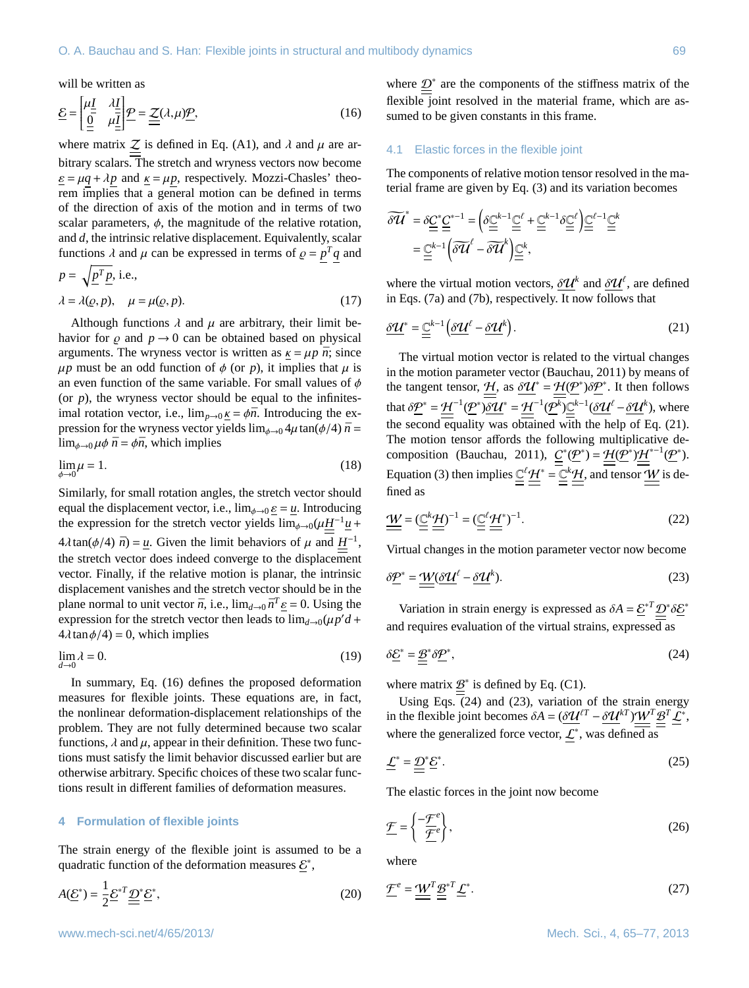<span id="page-4-0"></span>will be written as

$$
\underline{\mathcal{E}} = \begin{bmatrix} \mu \underline{I} & \lambda \underline{I} \\ \underline{0} & \mu \underline{I} \end{bmatrix} \underline{\mathcal{P}} = \underline{\underline{\mathcal{Z}}}(\lambda, \mu) \underline{\mathcal{P}},\tag{16}
$$

where matrix  $Z$  is defined in Eq. [\(A1\)](#page-10-1), and  $\lambda$  and  $\mu$  are arbitrary scalars. The stretch and wryness vectors now become  $\underline{\varepsilon} = \mu q + \lambda p$  and  $\underline{\kappa} = \mu p$ , respectively. Mozzi-Chasles' theorem implies that a general motion can be defined in terms of the direction of axis of the motion and in terms of two scalar parameters,  $\phi$ , the magnitude of the relative rotation, and *d*, the intrinsic relative displacement. Equivalently, scalar functions  $\lambda$  and  $\mu$  can be expressed in terms of  $\rho = p^T q$  and

<span id="page-4-11"></span>
$$
p = \sqrt{\underline{p}^T \underline{p}}, \text{ i.e.,}
$$
  

$$
\lambda = \lambda(\underline{\rho}, p), \quad \mu = \mu(\underline{\rho}, p).
$$
 (17)

Although functions  $\lambda$  and  $\mu$  are arbitrary, their limit behavior for  $\rho$  and  $p \rightarrow 0$  can be obtained based on physical arguments. The wryness vector is written as  $k = \mu p \bar{n}$ ; since  $\mu p$  must be an odd function of  $\phi$  (or *p*), it implies that  $\mu$  is an even function of the same variable. For small values of  $\phi$ (or  $p$ ), the wryness vector should be equal to the infinitesimal rotation vector, i.e.,  $\lim_{p\to 0} \kappa = \phi \bar{n}$ . Introducing the expression for the wryness vector yields  $\lim_{\phi \to 0} 4\mu \tan(\phi/4) \bar{n} =$  $\lim_{\phi \to 0} \mu \phi \bar{n} = \phi \bar{n}$ , which implies

<span id="page-4-7"></span>
$$
\lim_{\phi \to 0} \mu = 1. \tag{18}
$$

Similarly, for small rotation angles, the stretch vector should equal the displacement vector, i.e.,  $\lim_{\phi \to 0} \underline{\varepsilon} = \underline{u}$ . Introducing the expression for the stretch vector yields  $\lim_{\phi \to 0} (\mu \underline{H}^{-1} \underline{u} +$  $4\lambda \tan(\phi/4) \bar{n} = \underline{u}$ . Given the limit behaviors of  $\mu$  and  $\underline{H}^{-1}$ , the stratch vector does indeed converge to the displacement the stretch vector does indeed converge to the displacement vector. Finally, if the relative motion is planar, the intrinsic displacement vanishes and the stretch vector should be in the plane normal to unit vector  $\bar{n}$ , i.e.,  $\lim_{d\to 0} \bar{n}^T \underline{\varepsilon} = 0$ . Using the expression for the stretch vector then leads to  $\lim_{d\to 0} \frac{\partial u}{\partial t}d +$ expression for the stretch vector then leads to  $\lim_{d\to 0} (\mu p' d +$ <br> $4\lambda \tan \phi / 4) = 0$  which implies  $4\lambda \tan \phi/4$  = 0, which implies

<span id="page-4-8"></span>
$$
\lim_{d \to 0} \lambda = 0. \tag{19}
$$

In summary, Eq. [\(16\)](#page-4-0) defines the proposed deformation measures for flexible joints. These equations are, in fact, the nonlinear deformation-displacement relationships of the problem. They are not fully determined because two scalar functions,  $\lambda$  and  $\mu$ , appear in their definition. These two functions must satisfy the limit behavior discussed earlier but are otherwise arbitrary. Specific choices of these two scalar functions result in different families of deformation measures.

#### **4 Formulation of flexible joints**

The strain energy of the flexible joint is assumed to be a quadratic function of the deformation measures  $\mathcal{E}^*$ ,

$$
A(\underline{\mathcal{E}}^*) = \frac{1}{2} \underline{\mathcal{E}}^{*T} \underline{\underline{\mathcal{D}}}^* \underline{\mathcal{E}}^*,\tag{20}
$$

where  $\mathcal{D}^*$  are the components of the stiffness matrix of the flexible joint resolved in the material frame, which are assumed to be given constants in this frame.

#### 4.1 Elastic forces in the flexible joint

The components of relative motion tensor resolved in the material frame are given by Eq. [\(3\)](#page-1-2) and its variation becomes

$$
\begin{split} \widetilde{\delta \mathcal{U}}^* &= \delta \underline{\underline{C}}^* \underline{\underline{C}}^{*-1} = \left( \delta \underline{\underline{C}}^{k-1} \underline{\underline{C}}^{\ell} + \underline{\underline{C}}^{k-1} \delta \underline{\underline{C}}^{\ell} \right) \underline{\underline{C}}^{\ell-1} \underline{\underline{C}}^k \\ &= \underline{\underline{C}}^{k-1} \left( \widetilde{\delta \mathcal{U}}^{\ell} - \widetilde{\delta \mathcal{U}}^k \right) \underline{\underline{C}}^k, \end{split}
$$

<span id="page-4-1"></span>where the virtual motion vectors,  $\delta \mathcal{U}^k$  and  $\delta \mathcal{U}^{\ell}$ , are defined<br>in Eqs. (7a) and (7b) respectively It now follows that in Eqs. [\(7a\)](#page-2-5) and [\(7b\)](#page-2-6), respectively. It now follows that

$$
\underline{\delta \mathcal{U}}^* = \underline{\underline{\underline{C}}}^{k-1} \Big( \underline{\delta \mathcal{U}}^\ell - \underline{\delta \mathcal{U}}^k \Big). \tag{21}
$$

The virtual motion vector is related to the virtual changes in the motion parameter vector [\(Bauchau,](#page-11-4) [2011\)](#page-11-4) by means of the tangent tensor,  $\frac{H}{v}$ , as  $\delta U^* = \frac{H(P^*)\delta P^*}{\delta P}$ . It then follows that  $\delta \underline{P}^* = \underline{H}^{-1}(\underline{P}^*) \underline{\delta \mathcal{U}}^* = \underline{H}^{-1}(\underline{P}^k) \underline{\underline{\mathbb{C}}^{k-1}} (\underline{\delta \mathcal{U}}^{\ell} - \underline{\delta \mathcal{U}}^k)$ , where the second equality was obtained with the help of Eq. [\(21\)](#page-4-1). The motion tensor affords the following multiplicative de-composition [\(Bauchau,](#page-11-4) [2011\)](#page-11-4),  $\underline{C}^*(\underline{P}^*) = \underline{\mathcal{H}}(\underline{P}^*)\underline{\mathcal{H}}^{*-1}(\underline{P}^*)$ . Equation [\(3\)](#page-1-2) then implies  $\underline{\mathbb{C}}^{\ell}$   $\underline{\mathcal{H}}^* = \underline{\mathbb{C}}^k \underline{\mathcal{H}}$ , and tensor  $\underline{\mathcal{W}}$  is defined as

<span id="page-4-5"></span>
$$
\underline{\underline{\mathbf{W}}} = (\underline{\underline{\mathbf{C}}}^k \underline{\underline{\mathbf{H}}})^{-1} = (\underline{\underline{\mathbf{C}}}^{\ell} \underline{\underline{\mathbf{H}}}^*)^{-1}.
$$
\n(22)

<span id="page-4-3"></span>Virtual changes in the motion parameter vector now become

$$
\delta \underline{P}^* = \underline{\underline{W}} (\underline{\delta \underline{U}}^\ell - \underline{\delta \underline{U}}^k). \tag{23}
$$

<span id="page-4-2"></span>Variation in strain energy is expressed as  $\delta A = \underline{\mathcal{E}}^* \underline{D}^* \delta \underline{\mathcal{E}}^*$ and requires evaluation of the virtual strains, expressed as

$$
\delta \underline{E}^* = \underline{\underline{B}}^* \delta \underline{P}^*,\tag{24}
$$

where matrix  $\underline{\mathcal{B}}^*$  is defined by Eq. [\(C1\)](#page-10-2).

<span id="page-4-9"></span>Using Eqs. [\(24\)](#page-4-2) and [\(23\)](#page-4-3), variation of the strain energy in the flexible joint becomes  $\delta A = (\delta \mathcal{U}^{tT} - \delta \mathcal{U}^{kT}) \mathcal{W}^T \mathcal{B}^T \mathcal{L}^*$ , where the generalized force vector,  $\mathcal{L}^*$ , was defined as

$$
\underline{\underline{L}}^* = \underline{\underline{D}}^* \underline{\underline{E}}^*.
$$
\n(25)

<span id="page-4-4"></span>The elastic forces in the joint now become

$$
\underline{\mathcal{F}} = \left\{ \frac{-\underline{\mathcal{F}}^e}{\underline{\mathcal{F}}^e} \right\},\tag{26}
$$

<span id="page-4-10"></span><span id="page-4-6"></span>where

$$
\underline{\mathcal{F}}^e = \underline{\underline{\mathcal{W}}}^T \underline{\underline{\mathcal{B}}}^{*T} \underline{\underline{\mathcal{L}}}^*.
$$
\n(27)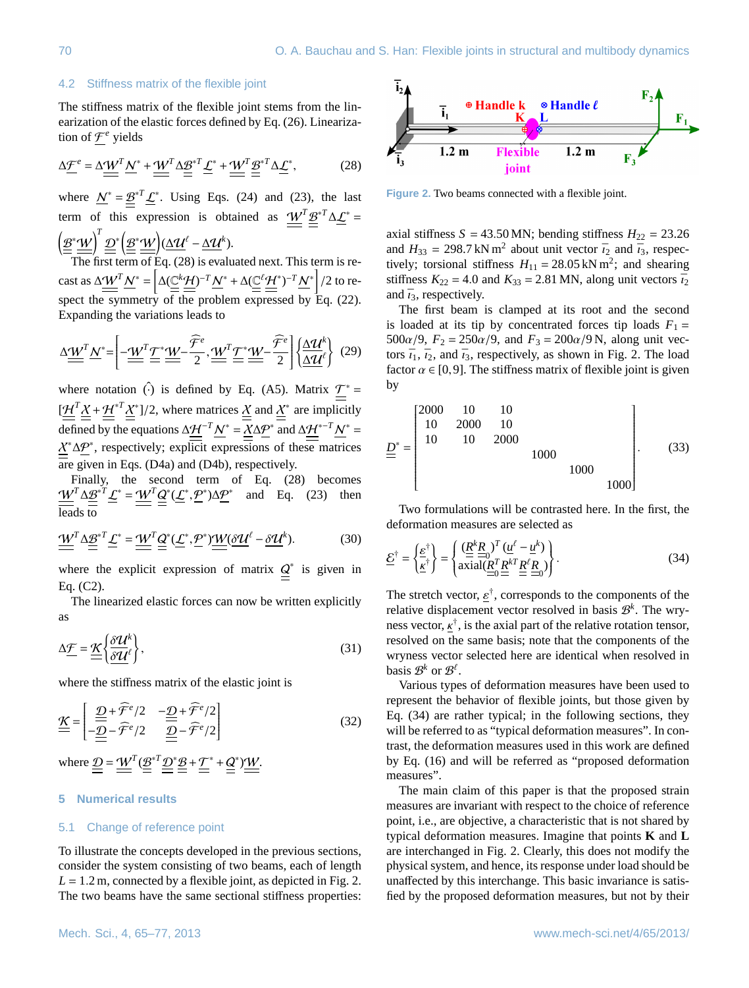## 4.2 Stiffness matrix of the flexible joint

<span id="page-5-0"></span>The stiffness matrix of the flexible joint stems from the linearization of the elastic forces defined by Eq. [\(26\)](#page-4-4). Linearization of  $f^e$  yields

$$
\Delta \underline{\mathcal{F}}^e = \Delta \underline{\underline{W}}^T \underline{N}^* + \underline{\underline{W}}^T \Delta \underline{\underline{\mathcal{B}}}^{*T} \underline{\underline{\mathcal{L}}}^* + \underline{\underline{W}}^T \underline{\underline{\mathcal{B}}}^{*T} \Delta \underline{\underline{\mathcal{L}}}^*,\tag{28}
$$

where  $N^* = \underline{\mathcal{B}}^{*T} \underline{\mathcal{L}}^*$ . Using Eqs. [\(24\)](#page-4-2) and [\(23\)](#page-4-3), the last term of this expression is obtained as  $\mathcal{W}^T \mathcal{B}^{*T} \Delta \mathcal{L}^* =$  $\left( \underline{\mathcal{B}}^{*}\underline{\mathcal{W}}\right) ^{T}\underline{\mathcal{D}}^{*}\Big(\underline{\mathcal{B}}^{*}\underline{\mathcal{W}}\Big)(\underline{\Delta \mathcal{U}}^{\ell}-\underline{\Delta \mathcal{U}}^{k}).$ 

The first term of Eq. [\(28\)](#page-5-0) is evaluated next. This term is recast as  $\Delta \underline{\underline{W}}^T \underline{N}^* = \left[ \Delta (\underline{\underline{C}}^k \underline{\underline{H}})^{-T} \underline{N}^* + \Delta (\underline{\underline{C}}^{\underline{\ell}} \underline{\underline{H}}^*)^{-T} \underline{N}^* \right] / 2$  to respect the symmetry of the problem expressed by Eq. [\(22\)](#page-4-5). Expanding the variations leads to

∆W*<sup>T</sup>*N ∗= −W*<sup>T</sup>*T <sup>∗</sup>W− Fb*e* 2 ,W*<sup>T</sup>*<sup>T</sup> <sup>∗</sup>W− Fb*e* 2 ( ∆U*<sup>k</sup>* ∆U` ) (29)

where notation  $\hat{()}$  is defined by Eq. [\(A5\)](#page-10-3). Matrix  $\mathcal{T}^*$  =  $\left[\frac{H^T \underline{X} + \underline{H}^{*T} \underline{X}^*}{\frac{1}{2}}\right]$  /2, where matrices  $\underline{X}$  and  $\underline{X}^*$  are implicitly defined by the equations  $\Delta \underline{\mathcal{H}}^{-T} \underline{\mathcal{N}}^* = \underline{\mathcal{X}} \Delta \underline{\mathcal{P}}^*$  and  $\Delta \underline{\mathcal{H}}^{*-T} \underline{\mathcal{N}}^* =$  $X^*\Delta \mathcal{P}^*$ , respectively; explicit expressions of these matrices are given in Eqs. [\(D4a\)](#page-11-11) and [\(D4b\)](#page-11-12), respectively.

Finally, the second term of Eq. [\(28\)](#page-5-0) becomes  $\frac{W^T \Delta \underline{\mathcal{B}}^{*T} \underline{\mathcal{L}}^*}{\sum_{k=1}^{N} \frac{1}{k}} = \underline{W}^T \underline{\underline{\mathcal{Q}}^*} (\underline{\mathcal{L}}^*, \underline{\mathcal{P}}^*) \Delta \underline{\mathcal{P}}^*$  and Eq. [\(23\)](#page-4-3) then leads to

$$
\underline{\underline{\mathcal{W}}}^T \underline{\Delta} \underline{\underline{\mathcal{B}}}^{*T} \underline{\underline{\mathcal{L}}}^* = \underline{\underline{\mathcal{W}}}^T \underline{\underline{\mathcal{Q}}}^* (\underline{\mathcal{L}}^*, \underline{\mathcal{P}}^*) \underline{\underline{\mathcal{W}}} (\underline{\delta \mathcal{U}}^{\ell} - \underline{\delta \mathcal{U}}^k). \tag{30}
$$

where the explicit expression of matrix  $Q^*$  is given in Eq. [\(C2\)](#page-11-13).

The linearized elastic forces can now be written explicitly as

$$
\Delta \underline{\mathcal{F}} = \underline{\underline{\mathcal{K}}} \left\{ \frac{\delta \underline{\mathcal{U}}^k}{\delta \underline{\mathcal{U}}^{\ell}} \right\},\tag{31}
$$

where the stiffness matrix of the elastic joint is

$$
\underline{\mathcal{K}} = \begin{bmatrix} \underline{\mathcal{D}} + \widehat{\mathcal{F}}^e/2 & -\underline{\mathcal{D}} + \widehat{\mathcal{F}}^e/2\\ -\underline{\mathcal{D}} - \widehat{\mathcal{F}}^e/2 & \underline{\mathcal{D}} - \widehat{\mathcal{F}}^e/2 \end{bmatrix}
$$
(32)

where  $\mathcal{D} = \mathcal{W}^T (\mathcal{B}^{*T} \mathcal{D}^* \mathcal{B} + \mathcal{T}^* + \mathcal{Q}^*) \mathcal{W}.$ 

# **5 Numerical results**

## 5.1 Change of reference point

To illustrate the concepts developed in the previous sections, consider the system consisting of two beams, each of length  $L = 1.2$  m, connected by a flexible joint, as depicted in Fig. [2.](#page-5-1) The two beams have the same sectional stiffness properties:



<span id="page-5-1"></span>Figure 2. Two beams connected with a flexible joint.

axial stiffness  $S = 43.50$  MN; bending stiffness  $H_{22} = 23.26$ and  $H_{33} = 298.7 \text{ kN m}^2$  about unit vector  $\bar{\imath}_2$  and  $\bar{\imath}_3$ , respectively: torsional stiffness  $H_{11} = 28.05 \text{ kN m}^2$ ; and shearing tively; torsional stiffness  $H_{11} = 28.05 \text{ kN m}^2$ ; and shearing<br>stiffness  $K_{22} = 4.0$  and  $K_{22} = 2.81 \text{ MN}$  along unit vectors  $\bar{L}$ stiffness  $K_{22} = 4.0$  and  $K_{33} = 2.81$  MN, along unit vectors  $\bar{i}_2$ and  $\bar{i}_3$ , respectively.

The first beam is clamped at its root and the second is loaded at its tip by concentrated forces tip loads  $F_1 =$ 500 $\alpha$ /9,  $F_2 = 250\alpha/9$ , and  $F_3 = 200\alpha/9$  N, along unit vectors  $\bar{i}_1$ ,  $\bar{i}_2$ , and  $\bar{i}_3$ , respectively, as shown in Fig. [2.](#page-5-1) The load factor  $\alpha \in [0, 9]$ . The stiffness matrix of flexible joint is given by

$$
\underline{D}^* = \begin{bmatrix} 2000 & 10 & 10 \\ 10 & 2000 & 10 \\ 10 & 10 & 2000 \\ & & & 1000 \\ & & & & 1000 \\ & & & & 1000 \end{bmatrix} . \tag{33}
$$

<span id="page-5-2"></span>Two formulations will be contrasted here. In the first, the deformation measures are selected as

$$
\underline{\mathcal{E}}^{\dagger} = \left\{ \frac{\underline{\mathcal{E}}^{\dagger}}{\underline{\mathcal{K}}^{\dagger}} \right\} = \left\{ \frac{\left( \underline{\mathcal{R}}^k \underline{\mathcal{R}}_0 \right)^T \left( \underline{u}^\ell - \underline{u}^k \right)}{\operatorname{axial} \left( \underline{\mathcal{R}}^T \underline{\mathcal{R}}^k \underline{\mathcal{R}}_0 \right)} \right\}.
$$
\n(34)

The stretch vector,  $\underline{\varepsilon}^{\dagger}$ , corresponds to the components of the relative displacement vector resolved in basis  $\mathcal{R}^k$ . The wryrelative displacement vector resolved in basis  $\mathcal{B}^k$ . The wryness vector,  $\underline{\mathbf{x}}^{\dagger}$ , is the axial part of the relative rotation tensor,<br>resolved on the same basis; note that the components of the resolved on the same basis; note that the components of the wryness vector selected here are identical when resolved in basis  $\mathcal{B}^k$  or  $\mathcal{B}^{\ell}$ .

Various types of deformation measures have been used to represent the behavior of flexible joints, but those given by Eq. [\(34\)](#page-5-2) are rather typical; in the following sections, they will be referred to as "typical deformation measures". In contrast, the deformation measures used in this work are defined by Eq. [\(16\)](#page-4-0) and will be referred as "proposed deformation measures".

The main claim of this paper is that the proposed strain measures are invariant with respect to the choice of reference point, i.e., are objective, a characteristic that is not shared by typical deformation measures. Imagine that points **K** and **L** are interchanged in Fig. [2.](#page-5-1) Clearly, this does not modify the physical system, and hence, its response under load should be unaffected by this interchange. This basic invariance is satisfied by the proposed deformation measures, but not by their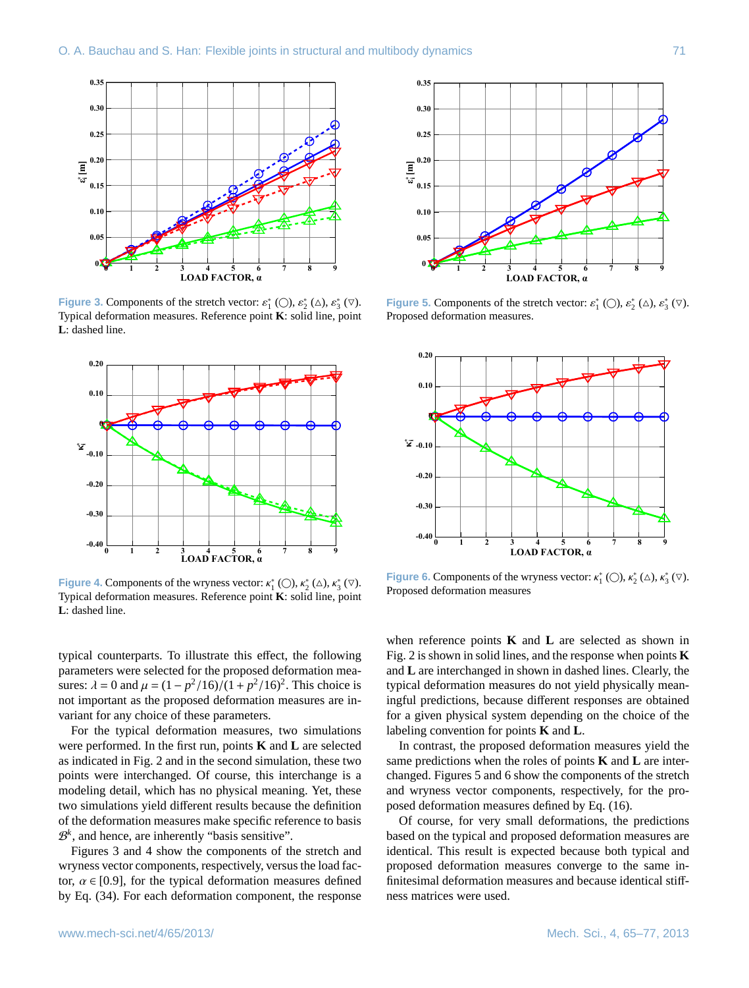

<span id="page-6-0"></span>**Figure 3.** Components of the stretch vector:  $\varepsilon_1^*$  ( $\bigcirc$ ),  $\varepsilon_2^*$  ( $\bigcirc$ ),  $\varepsilon_3^*$  ( $\nabla$ ).<br>Typical deformation measures. Reference point **K**: solid line, point Typical deformation measures. Reference point **K**: solid line, point **L**: dashed line.



<span id="page-6-1"></span>**Figure 4.** Components of the wryness vector:  $\kappa_1^* (\bigcirc), \kappa_2^* (\bigcirc), \kappa_3^* (\bigcirc)$ .<br>Typical deformation measures. Reference point **K**: solid line, point Typical deformation measures. Reference point **K**: solid line, point **L**: dashed line.

typical counterparts. To illustrate this effect, the following parameters were selected for the proposed deformation measures:  $\lambda = 0$  and  $\mu = (1 - p^2/16)/(1 + p^2/16)^2$ . This choice is not important as the proposed deformation measures are invariant for any choice of these parameters.

For the typical deformation measures, two simulations were performed. In the first run, points **K** and **L** are selected as indicated in Fig. [2](#page-5-1) and in the second simulation, these two points were interchanged. Of course, this interchange is a modeling detail, which has no physical meaning. Yet, these two simulations yield different results because the definition of the deformation measures make specific reference to basis  $\mathcal{B}^k$ , and hence, are inherently "basis sensitive".

Figures [3](#page-6-0) and [4](#page-6-1) show the components of the stretch and wryness vector components, respectively, versus the load factor,  $\alpha \in [0.9]$ , for the typical deformation measures defined by Eq. [\(34\)](#page-5-2). For each deformation component, the response



<span id="page-6-2"></span>**Figure 5.** Components of the stretch vector:  $\varepsilon_1^*$  ( $\bigcirc$ ),  $\varepsilon_2^*$  ( $\triangle$ ),  $\varepsilon_3^*$  ( $\triangledown$ ).<br>Proposed deformation measures Proposed deformation measures.



<span id="page-6-3"></span>**Figure 6.** Components of the wryness vector:  $\kappa_1^*$  ( $\bigcirc$ ),  $\kappa_2^*$  ( $\triangle$ ),  $\kappa_3^*$  ( $\triangledown$ ).<br>Proposed deformation measures Proposed deformation measures

when reference points **K** and **L** are selected as shown in Fig. [2](#page-5-1) is shown in solid lines, and the response when points **K** and **L** are interchanged in shown in dashed lines. Clearly, the typical deformation measures do not yield physically meaningful predictions, because different responses are obtained for a given physical system depending on the choice of the labeling convention for points **K** and **L**.

In contrast, the proposed deformation measures yield the same predictions when the roles of points **K** and **L** are interchanged. Figures [5](#page-6-2) and [6](#page-6-3) show the components of the stretch and wryness vector components, respectively, for the proposed deformation measures defined by Eq. [\(16\)](#page-4-0).

Of course, for very small deformations, the predictions based on the typical and proposed deformation measures are identical. This result is expected because both typical and proposed deformation measures converge to the same infinitesimal deformation measures and because identical stiffness matrices were used.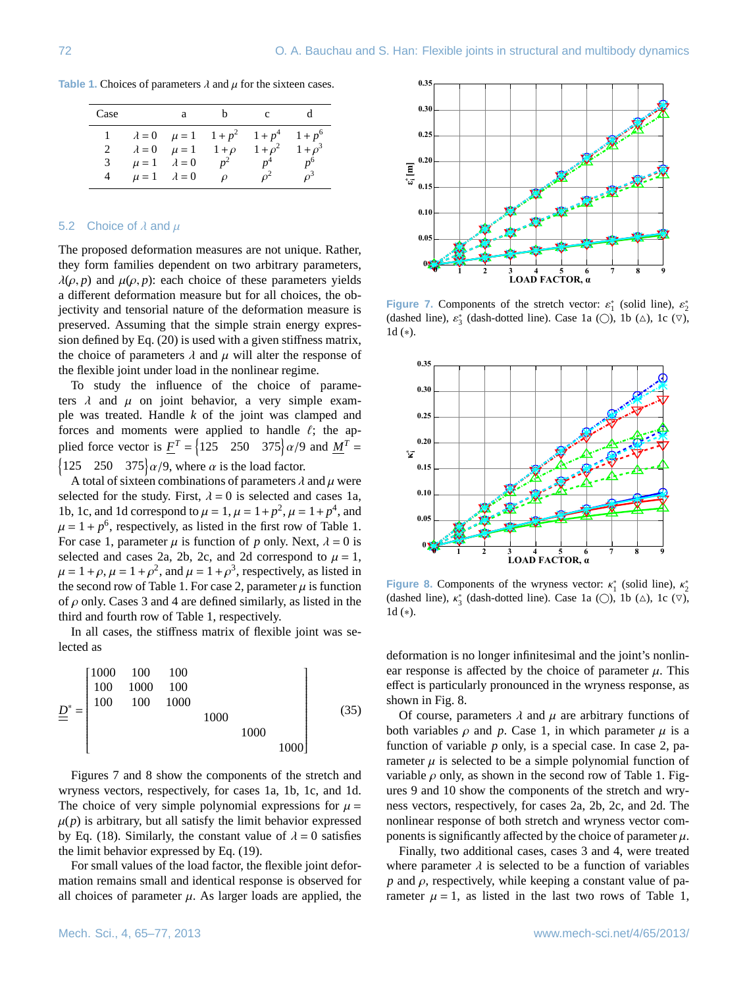**Table 1.** Choices of parameters  $\lambda$  and  $\mu$  for the sixteen cases.

<span id="page-7-0"></span>

| Case |                         | a |               | c                                                            |                |
|------|-------------------------|---|---------------|--------------------------------------------------------------|----------------|
|      |                         |   |               | $\lambda = 0$ $\mu = 1$ $1 + p^2$ $1 + p^4$ $1 + p^6$        |                |
|      |                         |   |               | $\lambda = 0$ $\mu = 1$ $1 + \rho$ $1 + \rho^2$ $1 + \rho^3$ |                |
| 3    | $\mu = 1$ $\lambda = 0$ |   | $p^2$         | $p^4$                                                        | n <sup>6</sup> |
| 4    | $\mu = 1$ $\lambda = 0$ |   | $\mathcal{D}$ |                                                              | $\rho^3$       |

## 5.2 Choice of  $\lambda$  and  $\mu$

The proposed deformation measures are not unique. Rather, they form families dependent on two arbitrary parameters,  $\lambda(\rho, p)$  and  $\mu(\rho, p)$ : each choice of these parameters yields a different deformation measure but for all choices, the objectivity and tensorial nature of the deformation measure is preserved. Assuming that the simple strain energy expression defined by Eq. [\(20\)](#page-4-6) is used with a given stiffness matrix, the choice of parameters  $\lambda$  and  $\mu$  will alter the response of the flexible joint under load in the nonlinear regime.

To study the influence of the choice of parameters  $\lambda$  and  $\mu$  on joint behavior, a very simple example was treated. Handle *k* of the joint was clamped and forces and moments were applied to handle  $\ell$ ; the applied force vector is  $\underline{F}^T = \left\{ 125 \quad 250 \quad 375 \right\} \alpha/9$  and  $\underline{M}^T = \left\{ 125 \quad 250 \quad 375 \right\}$  $\begin{cases} 125 & 250 & 375 \ \alpha/9 \end{cases}$ , where  $\alpha$  is the load factor.

A total of sixteen combinations of parameters  $\lambda$  and  $\mu$  were selected for the study. First,  $\lambda = 0$  is selected and cases 1a, 1b, 1c, and 1d correspond to  $\mu = 1$ ,  $\mu = 1 + p^2$ ,  $\mu = 1 + p^4$ , and  $\mu = 1 + p^6$  respectively as listed in the first row of Table 1.  $\mu = 1 + p^6$ , respectively, as listed in the first row of Table [1.](#page-7-0)<br>For case 1, parameter  $\mu$  is function of *n* only Next  $\lambda = 0$  is For case 1, parameter  $\mu$  is function of p only. Next,  $\lambda = 0$  is selected and cases 2a, 2b, 2c, and 2d correspond to  $\mu = 1$ ,  $\mu = 1 + \rho$ ,  $\mu = 1 + \rho^2$ , and  $\mu = 1 + \rho^3$ , respectively, as listed in the second row of Table 1. For case 2, parameter *u* is function the second row of Table [1.](#page-7-0) For case 2, parameter  $\mu$  is function of  $\rho$  only. Cases 3 and 4 are defined similarly, as listed in the third and fourth row of Table [1,](#page-7-0) respectively.

In all cases, the stiffness matrix of flexible joint was selected as

*D* <sup>∗</sup> = 1000 100 100 100 1000 100 100 100 1000 1000 1000 1000 (35)

Figures [7](#page-7-1) and [8](#page-7-2) show the components of the stretch and wryness vectors, respectively, for cases 1a, 1b, 1c, and 1d. The choice of very simple polynomial expressions for  $\mu =$  $\mu(p)$  is arbitrary, but all satisfy the limit behavior expressed by Eq. [\(18\)](#page-4-7). Similarly, the constant value of  $\lambda = 0$  satisfies the limit behavior expressed by Eq. [\(19\)](#page-4-8).

For small values of the load factor, the flexible joint deformation remains small and identical response is observed for all choices of parameter  $\mu$ . As larger loads are applied, the



<span id="page-7-1"></span>**Figure 7.** Components of the stretch vector:  $\varepsilon_1^*$  (solid line),  $\varepsilon_2^*$  (dashed line),  $\varepsilon_3^*$  (dash-dotted line),  $C$  ase 1a ( $\bigcirc$ ), 1b ( $\wedge$ ), 1c ( $\bigcirc$ ) (dashed line),  $\varepsilon_3^*$  (dash-dotted line). Case 1a ( $\bigcirc$ ), 1b ( $\triangle$ ), 1c ( $\nabla$ ), 1d ( $\ast$ ) 1d (∗).



<span id="page-7-2"></span>**Figure 8.** Components of the wryness vector:  $\kappa_1^*$  (solid line),  $\kappa_2^*$  (dashed line),  $\kappa_3^*$  (dash-dotted line), Case 1a ( $\bigcirc$ ), 1b ( $\wedge$ ), 1c ( $\bigcirc$ ) (dashed line),  $\kappa_3^*$  (dash-dotted line). Case 1a ( $\bigcirc$ ), 1b ( $\triangle$ ), 1c ( $\nabla$ ), 1d ( $\ast$ ) 1d (∗).

deformation is no longer infinitesimal and the joint's nonlinear response is affected by the choice of parameter  $\mu$ . This effect is particularly pronounced in the wryness response, as shown in Fig. [8.](#page-7-2)

Of course, parameters  $\lambda$  and  $\mu$  are arbitrary functions of both variables  $\rho$  and  $p$ . Case 1, in which parameter  $\mu$  is a function of variable *p* only, is a special case. In case 2, parameter  $\mu$  is selected to be a simple polynomial function of variable  $\rho$  only, as shown in the second row of Table [1.](#page-7-0) Figures [9](#page-8-0) and [10](#page-8-1) show the components of the stretch and wryness vectors, respectively, for cases 2a, 2b, 2c, and 2d. The nonlinear response of both stretch and wryness vector components is significantly affected by the choice of parameter  $\mu$ .

Finally, two additional cases, cases 3 and 4, were treated where parameter  $\lambda$  is selected to be a function of variables  $p$  and  $\rho$ , respectively, while keeping a constant value of parameter  $\mu = 1$ , as listed in the last two rows of Table [1,](#page-7-0)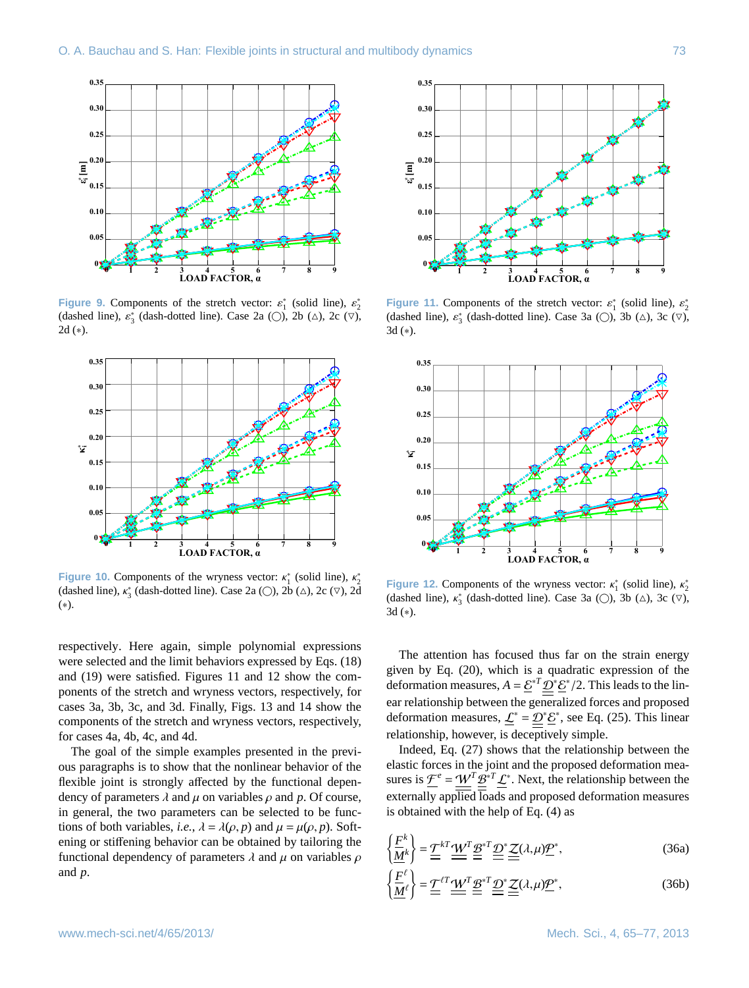

<span id="page-8-0"></span>**Figure 9.** Components of the stretch vector:  $\varepsilon_1^*$  (solid line),  $\varepsilon_2^*$  (dashed line),  $\varepsilon_3^*$  (dashed line),  $C$  ase 2a ( $\bigcirc$ ), 2b ( $\wedge$ ), 2c ( $\bigcirc$ ) (dashed line),  $\varepsilon_3^*$  (dash-dotted line). Case 2a ( $\bigcirc$ ), 2b ( $\triangle$ ), 2c ( $\nabla$ ), 2d ( $\triangle$ ) 2d (∗).



<span id="page-8-1"></span>**Figure 10.** Components of the wryness vector:  $\kappa_1^*$  (solid line),  $\kappa_2^*$  (dashed line),  $\kappa_3^*$  (dashed line), Case 2a (O), 2b ( $\wedge$ ), 2c ( $\nabla$ ), 2d (dashed line),  $\kappa_3^*$  (dash-dotted line). Case 2a ( $\bigcirc$ ), 2b ( $\triangle$ ), 2c ( $\nabla$ ), 2d ( $\ast$ ) (∗).

respectively. Here again, simple polynomial expressions were selected and the limit behaviors expressed by Eqs. [\(18\)](#page-4-7) and [\(19\)](#page-4-8) were satisfied. Figures [11](#page-8-2) and [12](#page-8-3) show the components of the stretch and wryness vectors, respectively, for cases 3a, 3b, 3c, and 3d. Finally, Figs. [13](#page-9-0) and [14](#page-9-1) show the components of the stretch and wryness vectors, respectively, for cases 4a, 4b, 4c, and 4d.

The goal of the simple examples presented in the previous paragraphs is to show that the nonlinear behavior of the flexible joint is strongly affected by the functional dependency of parameters  $\lambda$  and  $\mu$  on variables  $\rho$  and  $p$ . Of course, in general, the two parameters can be selected to be functions of both variables, *i.e.*,  $\lambda = \lambda(\rho, p)$  and  $\mu = \mu(\rho, p)$ . Softening or stiffening behavior can be obtained by tailoring the functional dependency of parameters  $\lambda$  and  $\mu$  on variables  $\rho$ and *p*.



<span id="page-8-2"></span>**Figure 11.** Components of the stretch vector:  $\varepsilon_1^*$  (solid line),  $\varepsilon_2^*$  (dashed line),  $\varepsilon_3^*$  (dashed line),  $C$ ase 3a ( $\bigcirc$ ), 3b ( $\wedge$ ), 3c ( $\bigcirc$ ) (dashed line),  $\varepsilon_3^*$  (dash-dotted line). Case 3a ( $\bigcirc$ ), 3b ( $\triangle$ ), 3c ( $\nabla$ ), 3d ( $\ast$ ) 3d (∗).



<span id="page-8-3"></span>**Figure 12.** Components of the wryness vector:  $\kappa_1^*$  (solid line),  $\kappa_2^*$  (dashed line),  $\kappa_3^*$  (dashed line), Case 3a (ω), 3b (Δ), 3c (▽) (dashed line),  $\kappa_3^*$  (dash-dotted line). Case 3a ( $\bigcirc$ ), 3b ( $\triangle$ ), 3c ( $\nabla$ ), 3d ( $\ast$ ) 3d (∗).

The attention has focused thus far on the strain energy given by Eq. [\(20\)](#page-4-6), which is a quadratic expression of the deformation measures,  $A = \underline{\mathcal{E}}^* \underline{\mathcal{D}}^* \underline{\mathcal{E}}^* / 2$ . This leads to the lin-<br>completionship hetween the computing forces and meansead ear relationship between the generalized forces and proposed deformation measures,  $\mathcal{L}^* = \mathcal{D}^* \mathcal{E}^*$ , see Eq. [\(25\)](#page-4-9). This linear relationship, however, is deceptively simple.

Indeed, Eq. [\(27\)](#page-4-10) shows that the relationship between the elastic forces in the joint and the proposed deformation measures is  $\mathcal{F}^e = \underline{\mathcal{W}}^T \underline{\mathcal{B}}^{*T} \mathcal{L}^*$ . Next, the relationship between the externally applied loads and proposed deformation measures is obtained with the help of Eq. [\(4\)](#page-2-3) as

$$
\left\{\frac{\underline{F}^k}{\underline{M}^k}\right\} = \underline{\underline{T}}^{kT} \underline{\underline{W}}^T \underline{\underline{\underline{B}}^*}^T \underline{\underline{D}}^* \underline{\underline{Z}}(\lambda, \mu) \underline{\underline{P}}^*,
$$
\n(36a)

$$
\left\{\frac{F}{\underline{M}}^{\ell}\right\} = \underline{\underline{T}}^{\ell T} \underline{\underline{W}}^T \underline{\underline{\mathcal{B}}}^{*T} \underline{\underline{\mathcal{D}}}^{*} \underline{\underline{Z}}(\lambda, \mu) \underline{\underline{\mathcal{P}}}^{*},\tag{36b}
$$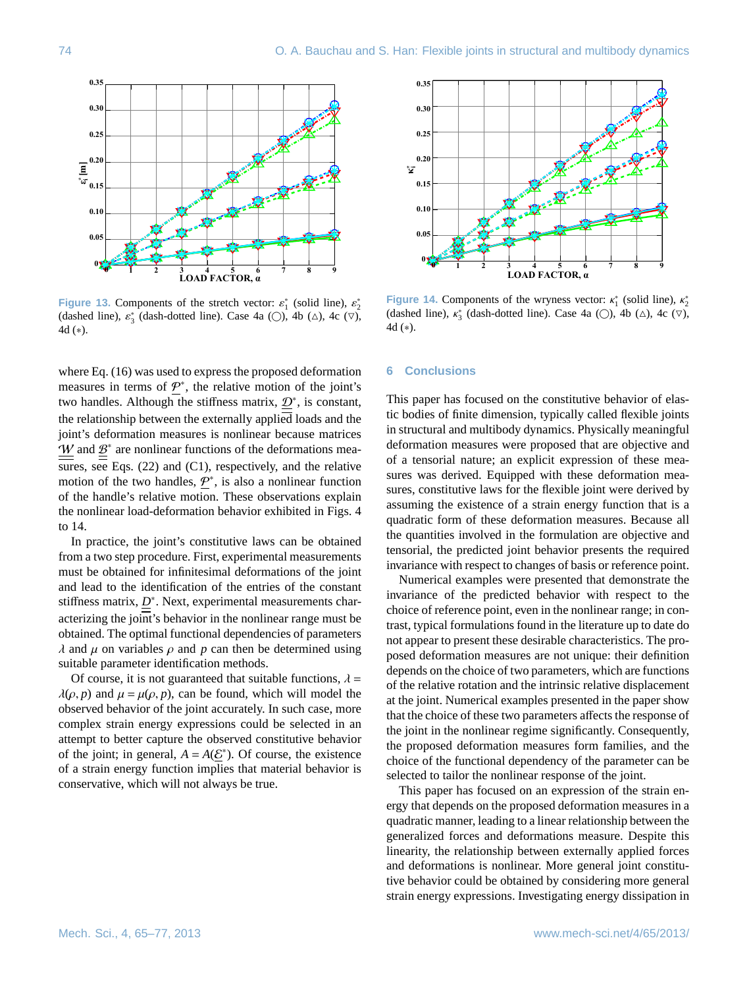

<span id="page-9-0"></span>**Figure 13.** Components of the stretch vector:  $\varepsilon_1^*$  (solid line),  $\varepsilon_2^*$  (dashed line),  $\varepsilon_3^*$  (dashed line), Case  $4a$  ( $\bigcirc$ ), 4b ( $\wedge$ ), 4c ( $\bigcirc$ ) (dashed line),  $\varepsilon_3^*$  (dash-dotted line). Case 4a ( $\bigcirc$ ), 4b ( $\triangle$ ), 4c ( $\nabla$ ), 4d ( $\ast$ ) 4d (∗).

where Eq. [\(16\)](#page-4-0) was used to express the proposed deformation measures in terms of  $\underline{P}^*$ , the relative motion of the joint's two handles. Although the stiffness matrix,  $\mathcal{D}^*$ , is constant, the relationship between the externally applied loads and the joint's deformation measures is nonlinear because matrices  $W$  and  $B^*$  are nonlinear functions of the deformations mea-sures, see Eqs. [\(22\)](#page-4-5) and [\(C1\)](#page-10-2), respectively, and the relative motion of the two handles,  $\underline{P}^*$ , is also a nonlinear function of the handle's relative motion. These observations explain the nonlinear load-deformation behavior exhibited in Figs. [4](#page-6-1) to [14.](#page-9-1)

In practice, the joint's constitutive laws can be obtained from a two step procedure. First, experimental measurements must be obtained for infinitesimal deformations of the joint and lead to the identification of the entries of the constant stiffness matrix,  $D^*$ . Next, experimental measurements characterizing the joint's behavior in the nonlinear range must be obtained. The optimal functional dependencies of parameters  $\lambda$  and  $\mu$  on variables  $\rho$  and  $p$  can then be determined using suitable parameter identification methods.

Of course, it is not guaranteed that suitable functions,  $\lambda =$  $\lambda(\rho, p)$  and  $\mu = \mu(\rho, p)$ , can be found, which will model the observed behavior of the joint accurately. In such case, more complex strain energy expressions could be selected in an attempt to better capture the observed constitutive behavior of the joint; in general,  $A = A(\underline{\mathcal{E}}^*)$ . Of course, the existence of a strain energy function implies that material behavior is conservative, which will not always be true.



<span id="page-9-1"></span>**Figure 14.** Components of the wryness vector:  $\kappa_1^*$  (solid line),  $\kappa_2^*$  (dashed line),  $\kappa_3^*$  (dashed line), Case 4a ( $\bigcirc$ ), 4b ( $\wedge$ ), 4c ( $\bigcirc$ ) (dashed line),  $\kappa_3^*$  (dash-dotted line). Case 4a ( $\bigcirc$ ), 4b ( $\triangle$ ), 4c ( $\nabla$ ), 4d ( $\ast$ ) 4d (∗).

## **6 Conclusions**

This paper has focused on the constitutive behavior of elastic bodies of finite dimension, typically called flexible joints in structural and multibody dynamics. Physically meaningful deformation measures were proposed that are objective and of a tensorial nature; an explicit expression of these measures was derived. Equipped with these deformation measures, constitutive laws for the flexible joint were derived by assuming the existence of a strain energy function that is a quadratic form of these deformation measures. Because all the quantities involved in the formulation are objective and tensorial, the predicted joint behavior presents the required invariance with respect to changes of basis or reference point.

Numerical examples were presented that demonstrate the invariance of the predicted behavior with respect to the choice of reference point, even in the nonlinear range; in contrast, typical formulations found in the literature up to date do not appear to present these desirable characteristics. The proposed deformation measures are not unique: their definition depends on the choice of two parameters, which are functions of the relative rotation and the intrinsic relative displacement at the joint. Numerical examples presented in the paper show that the choice of these two parameters affects the response of the joint in the nonlinear regime significantly. Consequently, the proposed deformation measures form families, and the choice of the functional dependency of the parameter can be selected to tailor the nonlinear response of the joint.

This paper has focused on an expression of the strain energy that depends on the proposed deformation measures in a quadratic manner, leading to a linear relationship between the generalized forces and deformations measure. Despite this linearity, the relationship between externally applied forces and deformations is nonlinear. More general joint constitutive behavior could be obtained by considering more general strain energy expressions. Investigating energy dissipation in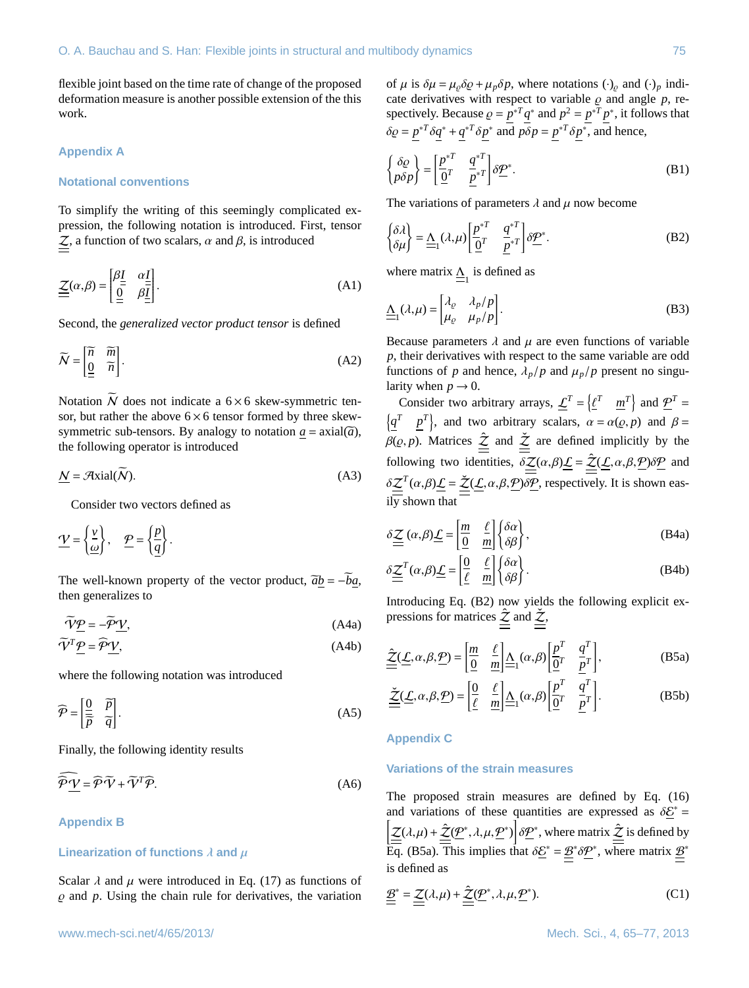flexible joint based on the time rate of change of the proposed deformation measure is another possible extension of the this work.

# **Appendix A**

## **Notational conventions**

To simplify the writing of this seemingly complicated expression, the following notation is introduced. First, tensor  $\mathcal{Z}$ , a function of two scalars,  $\alpha$  and  $\beta$ , is introduced

$$
\underline{\underline{\underline{\mathcal{Z}}}}(\alpha,\beta) = \begin{bmatrix} \beta \underline{I} & \alpha \underline{I} \\ \frac{\overline{0}}{2} & \beta \underline{I} \end{bmatrix} .
$$
 (A1)

Second, the *generalized vector product tensor* is defined

$$
\widetilde{N} = \begin{bmatrix} \widetilde{n} & \widetilde{m} \\ \underline{0} & \widetilde{n} \end{bmatrix} . \tag{A2}
$$

Notation  $\widetilde{N}$  does not indicate a 6 × 6 skew-symmetric tensor, but rather the above  $6 \times 6$  tensor formed by three skewsymmetric sub-tensors. By analogy to notation  $a = \text{axial}(\overline{a})$ , the following operator is introduced

$$
\underline{N} = \mathcal{A} \text{xial}(\widetilde{N}).\tag{A3}
$$

Consider two vectors defined as

$$
\underline{\mathcal{V}} = \left\{ \frac{\underline{v}}{\underline{\omega}} \right\}, \quad \underline{\mathcal{P}} = \left\{ \frac{\underline{p}}{\underline{q}} \right\}.
$$

The well-known property of the vector product,  $\tilde{a}b = -ba$ , then generalizes to

$$
\widetilde{\mathbf{V}}\mathbf{P} = -\widetilde{\mathbf{P}}\mathbf{V},\tag{A4a}
$$

$$
\widetilde{V}^T \underline{P} = \widehat{P} \underline{V},\tag{A4b}
$$

where the following notation was introduced

$$
\widehat{\mathcal{P}} = \begin{bmatrix} \frac{0}{\widetilde{p}} & \widetilde{p} \\ \overline{p} & \widetilde{q} \end{bmatrix} .
$$
 (A5)

Finally, the following identity results

$$
\widehat{\mathcal{P}}\underline{\mathcal{V}} = \widehat{\mathcal{P}}\widetilde{\mathcal{V}} + \widetilde{\mathcal{V}}^T \widehat{\mathcal{P}}.\tag{A6}
$$

**Appendix B**

## **Linearization of functions**  $\lambda$  and  $\mu$

Scalar  $\lambda$  and  $\mu$  were introduced in Eq. [\(17\)](#page-4-11) as functions of  $\rho$  and  $p$ . Using the chain rule for derivatives, the variation

of  $\mu$  is  $\delta \mu = \mu_o \delta \varrho + \mu_p \delta p$ , where notations  $(\cdot)_\rho$  and  $(\cdot)_p$  indicate derivatives with respect to variable  $\rho$  and angle  $p$ , re-<br>spectively Because  $\rho = p^{*T} q^*$  and  $p^2 = p^{*T} p^*$  it follows that spectively. Because  $\varrho = p^*T q^*$  and  $p^2 = p^*T p^*$ , it follows that  $\delta \varrho = \underline{p}^{*T} \delta \underline{q}^* + \underline{q}^{*T} \delta \underline{p}^*$  and  $p \delta p = \underline{p}^{*T} \delta \underline{p}^*$ , and hence,

$$
\begin{Bmatrix}\n\delta \varrho \\
p \delta p\n\end{Bmatrix} = \begin{bmatrix}\n\frac{p^{*T}}{Q^T} & \frac{q^{*T}}{p^{*T}}\n\end{bmatrix} \delta \underline{P}^*.
$$
\n(B1)

<span id="page-10-4"></span>The variations of parameters  $\lambda$  and  $\mu$  now become

<span id="page-10-1"></span>
$$
\begin{cases} \delta \lambda \\ \delta \mu \end{cases} = \underline{\Lambda}_{1}(\lambda, \mu) \left[ \underline{\underline{\rho}}^{*T} \quad \underline{\underline{\rho}}^{*T} \right] \delta \underline{\underline{\mathcal{P}}}^{*}.
$$
 (B2)

where matrix  $\underline{\underline{\Lambda}}_1$  is defined as

$$
\underline{\Lambda}_{1}(\lambda,\mu) = \begin{bmatrix} \lambda_{\varrho} & \lambda_{p}/p \\ \mu_{\varrho} & \mu_{p}/p \end{bmatrix} .
$$
 (B3)

Because parameters  $\lambda$  and  $\mu$  are even functions of variable *p*, their derivatives with respect to the same variable are odd functions of *p* and hence,  $\lambda_p/p$  and  $\mu_p/p$  present no singularity when  $p \to 0$ .

<span id="page-10-0"></span>Consider two arbitrary arrays,  $\underline{\mathcal{L}}^T = \left\{ \underline{\mathcal{E}}^T \quad \underline{m}^T \right\}$  and  $\underline{\mathcal{P}}^T =$  $\left\{\underline{q}^T \quad \underline{p}^T\right\}$ , and two arbitrary scalars,  $\alpha = \alpha(\rho, p)$  and  $\beta =$  $\beta(\varrho, p)$ . Matrices  $\hat{\underline{\mathcal{Z}}}$  and  $\hat{\underline{\mathcal{Z}}}$  are defined implicitly by the following two identities,  $\delta \underline{\underline{\mathcal{Z}}}(\alpha,\beta)\underline{\underline{\mathcal{L}}} = \underline{\underline{\hat{\mathcal{Z}}}(\underline{\mathcal{L}}}, \alpha, \beta, \underline{\underline{\mathcal{P}}}) \delta \underline{\underline{\mathcal{P}}}$  and  $\delta \underline{\underline{\mathcal{Z}}}^T(\alpha, \beta) \underline{\underline{\mathcal{L}}} = \underline{\underline{\mathcal{Z}}}(\underline{\mathcal{L}}, \alpha, \beta, \underline{\mathcal{P}}) \delta \underline{\mathcal{P}}$ , respectively. It is shown eas-<br>ily shown that

$$
\delta \underline{\underline{\underline{Z}}}\left(\alpha,\beta\right) \underline{\underline{L}} = \left[\underline{\frac{m}{0}} \quad \frac{\ell}{m}\right] \left\{\delta \alpha\right\},\tag{B4a}
$$

$$
\delta \underline{\underline{\mathcal{Z}}}^{T}(\alpha, \beta) \underline{\underline{\mathcal{L}}} = \begin{bmatrix} \underline{\underline{\theta}} & \underline{\ell} \\ \underline{\ell} & \underline{m} \end{bmatrix} \begin{Bmatrix} \delta \alpha \\ \delta \beta \end{Bmatrix}.
$$
 (B4b)

Introducing Eq. [\(B2\)](#page-10-4) now yields the following explicit expressions for matrices  $\hat{z}$  and  $\check{z}$ ,

<span id="page-10-5"></span>
$$
\underline{\hat{\mathcal{Z}}}(\underline{\mathcal{L}}, \alpha, \beta, \underline{\mathcal{P}}) = \left[\underline{\frac{m}{0}} \quad \underline{\frac{\ell}{m}}\right] \underline{\underline{\mathcal{A}}}_1(\alpha, \beta) \left[\underline{\frac{p^T}{0^T}} \quad \underline{\frac{q^T}{p^T}}\right],\tag{B5a}
$$

<span id="page-10-6"></span><span id="page-10-3"></span>
$$
\underline{\underline{\check{Z}}}(\underline{\underline{L}}, \alpha, \beta, \underline{\mathcal{P}}) = \begin{bmatrix} \underline{0} & \underline{\ell} \\ \underline{\ell} & \underline{m} \end{bmatrix} \underline{\underline{\Lambda}}_1(\alpha, \beta) \begin{bmatrix} p^T & q^T \\ \underline{0}^T & \underline{p}^T \end{bmatrix} .
$$
 (B5b)

## **Appendix C**

# **Variations of the strain measures**

The proposed strain measures are defined by Eq. [\(16\)](#page-4-0) and variations of these quantities are expressed as  $\delta \underline{\mathcal{E}}^* =$  $\left[ \underline{\underline{Z}}(\lambda,\mu) + \underline{\hat{Z}}(\underline{P}^*,\lambda,\mu,\underline{P}^*) \right] \delta \underline{P}^*,$  where matrix  $\underline{\hat{Z}}$  is defined by Eq. [\(B5a\)](#page-10-5). This implies that  $\delta \underline{\mathcal{E}}^* = \underline{\underline{\mathcal{B}}}^* \delta \underline{\mathcal{P}}^*$ , where matrix  $\underline{\underline{\mathcal{B}}}^*$ is defined as

<span id="page-10-2"></span>
$$
\underline{\underline{\mathcal{B}}}^* = \underline{\underline{\mathcal{Z}}}(\lambda, \mu) + \underline{\underline{\hat{\mathcal{Z}}}(\underline{\mathcal{P}}}^*, \lambda, \mu, \underline{\mathcal{P}}^*). \tag{C1}
$$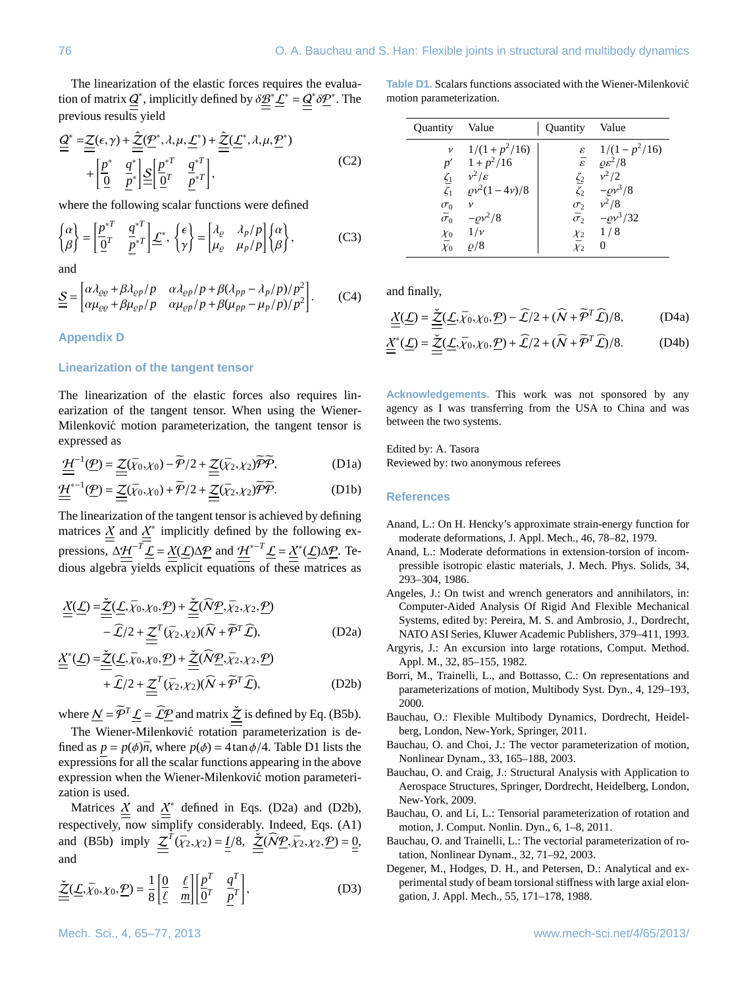The linearization of the elastic forces requires the evaluation of matrix  $\underline{Q}^*$ , implicitly defined by  $\delta \underline{B}^* \underline{L}^* = \underline{Q}^* \delta \underline{P}^*$ . The previous results yield

<span id="page-11-13"></span>
$$
\underline{\underline{Q}}^* = \underline{\underline{Z}}(\epsilon, \gamma) + \underline{\underline{\hat{Z}}(\underline{P}^*, \lambda, \mu, \underline{\underline{L}}^*)} + \underline{\underline{\hat{Z}}(\underline{\underline{L}}^*, \lambda, \mu, \underline{P}^*)} + \left[\underline{\underline{P}}^* \underline{\underline{q}}^* \underline{\underline{q}}^* \underline{\underline{Q}} \underline{\underline{p}}^* \underline{\underline{q}}^* \underline{\underline{q}}^* \underline{\underline{q}}^* \right],
$$
\n(C2)

where the following scalar functions were defined

$$
\begin{Bmatrix} \alpha \\ \beta \end{Bmatrix} = \begin{bmatrix} \frac{p^{*T}}{Q^T} & \frac{q^{*T}}{P^T} \end{bmatrix} \underline{\mathcal{L}}^*, \ \begin{Bmatrix} \epsilon \\ \gamma \end{Bmatrix} = \begin{bmatrix} \lambda_{\varrho} & \lambda_p/p \\ \mu_{\varrho} & \mu_p/p \end{bmatrix} \begin{Bmatrix} \alpha \\ \beta \end{Bmatrix}, \tag{C3}
$$

and

$$
\underline{\mathcal{S}} = \begin{bmatrix} \alpha \lambda_{\varrho\rho} + \beta \lambda_{\varrho p} / p & \alpha \lambda_{\varrho p} / p + \beta (\lambda_{pp} - \lambda_p / p) / p^2 \\ \alpha \mu_{\varrho\varrho} + \beta \mu_{\varrho p} / p & \alpha \mu_{\varrho p} / p + \beta (\mu_{pp} - \mu_p / p) / p^2 \end{bmatrix} . \tag{C4}
$$

**Appendix D**

## **Linearization of the tangent tensor**

The linearization of the elastic forces also requires linearization of the tangent tensor. When using the Wiener-Milenković motion parameterization, the tangent tensor is expressed as

$$
\underline{\underline{\mathcal{H}}}^{-1}(\underline{\mathcal{P}}) = \underline{\underline{\mathcal{Z}}}(\bar{\chi}_0, \chi_0) - \widetilde{\mathcal{P}}/2 + \underline{\underline{\mathcal{Z}}}(\bar{\chi}_2, \chi_2) \widetilde{\mathcal{P}} \widetilde{\mathcal{P}},
$$
 (D1a)

$$
\underline{\underline{\mathcal{H}}}^{*-1}(\underline{\mathcal{P}}) = \underline{\underline{\mathcal{Z}}}(\bar{\chi}_0, \chi_0) + \widetilde{\mathcal{P}}/2 + \underline{\underline{\mathcal{Z}}}(\bar{\chi}_2, \chi_2) \widetilde{\mathcal{P}} \widetilde{\mathcal{P}}.
$$
 (D1b)

The linearization of the tangent tensor is achieved by defining matrices  $\chi$  and  $\chi^*$  implicitly defined by the following expressions,  $\Delta \underline{\mathcal{H}}^{-T} \mathcal{L} = \underline{\mathcal{X}}(\mathcal{L}) \Delta \underline{\mathcal{P}}$  and  $\underline{\mathcal{H}}^{*-T} \mathcal{L} = \underline{\mathcal{X}}^{*}(\mathcal{L}) \Delta \underline{\mathcal{P}}$ . Tedious algebra yields explicit equations of these matrices as

$$
\underline{\underline{X}}(\underline{\underline{L}}) = \underline{\underline{\underline{X}}}(\underline{\underline{L}}, \overline{\chi}_0, \chi_0, \underline{\underline{P}}) + \underline{\underline{\underline{X}}}(\overline{N}\underline{\underline{P}}, \overline{\chi}_2, \chi_2, \underline{\underline{P}}) \n- \widehat{\underline{L}}/2 + \underline{\underline{Z}}^T(\overline{\chi}_2, \chi_2)(\overline{N} + \overline{\underline{P}}^T \widehat{\underline{L}}),
$$
\n(D2a)

$$
\underline{\underline{X}}^*(\underline{\underline{L}}) = \underline{\underline{\underline{X}}}(\underline{\underline{L}}, \bar{\chi}_0, \chi_0, \underline{P}) + \underline{\underline{\underline{X}}}(\widehat{N}\underline{P}, \bar{\chi}_2, \chi_2, \underline{P}) + \widehat{\underline{L}}/2 + \underline{\underline{Z}}^T(\bar{\chi}_2, \chi_2)(\widehat{N} + \widetilde{P}^T \widehat{\underline{L}}),
$$
(D2b)

where  $\underline{N} = \widetilde{\mathcal{P}}^T \underline{\mathcal{L}} = \widehat{\mathcal{L}} \underline{\mathcal{P}}$  and matrix  $\underline{\check{\mathcal{Z}}}$  is defined by Eq. [\(B5b\)](#page-10-6).

The Wiener-Milenković rotation parameterization is defined as  $p = p(\phi)\overline{n}$ , where  $p(\phi) = 4 \tan \phi/4$ . Table [D1](#page-7-0) lists the expressions for all the scalar functions appearing in the above expression when the Wiener-Milenković motion parameterization is used.

Matrices  $\chi$  and  $\chi^*$  defined in Eqs. [\(D2a\)](#page-11-14) and [\(D2b\)](#page-11-15), respectively, now simplify considerably. Indeed, Eqs. [\(A1\)](#page-10-1) and [\(B5b\)](#page-10-6) imply  $\underline{\leq}^T(\bar{x}_2, \chi_2) = \underline{I}/8$ ,  $\underline{\leq}(\widehat{N}\underline{P}, \bar{\chi}_2, \chi_2, \underline{P}) = \underline{0}$ and

$$
\underline{\underline{\underline{\check{\mathcal{Z}}}}}(\underline{\underline{\mathcal{L}}},\bar{\chi}_0,\chi_0,\underline{\underline{\mathcal{P}}}) = \frac{1}{8} \left[ \underline{\underline{\underline{\theta}}} \quad \underline{\underline{\ell}} \quad \underline{\underline{\ell}} \right] \left[ \underline{\underline{\rho}}^T \quad \underline{\underline{\underline{\ell}}}^T \right],\tag{D3}
$$

**Table D1.** Scalars functions associated with the Wiener-Milenkovic´ motion parameterization.

| <b>Quantity</b>  | Value                | <b>Ouantity</b> Value |                                  |
|------------------|----------------------|-----------------------|----------------------------------|
| $\mathcal{V}$    | $1/(1+p^2/16)$       |                       | $\varepsilon$ 1/(1 – $p^2/16$ )  |
|                  | $p' = 1 + p^2/16$    | $\bar{\varepsilon}$   | $\rho \varepsilon^2/8$           |
| $\zeta_1$        | $v^2/\varepsilon$    | $\zeta_2$             | $v^2/2$                          |
| $\bar{\zeta}_1$  | $\rho v^2(1-4\nu)/8$ |                       | $\bar{\zeta}_2$ $-\varrho v^3/8$ |
| $\sigma_0$       | $\mathcal V$         | $\sigma_2$            | $v^2/8$                          |
| $\bar{\sigma}_0$ | $-\rho v^2/8$        |                       | $\bar{\sigma}_2$ - $\rho v^3/32$ |
| $\chi_0$         | $1/\nu$              | $\chi_2$              | 1/8                              |
| $\bar{\chi}_0$   | $\rho/8$             | $\bar{\chi}_2$        | 0                                |

and finally,

<span id="page-11-12"></span><span id="page-11-11"></span>
$$
\underline{\underline{X}}(\underline{\underline{L}}) = \underline{\underline{\underline{X}}}(\underline{\underline{L}}, \bar{\chi}_0, \chi_0, \underline{\underline{P}}) - \widehat{\underline{L}}/2 + (\widehat{N} + \widehat{\underline{P}}^T \widehat{\underline{L}})/8, \tag{D4a}
$$

$$
\underline{\underline{\mathcal{X}}}^*(\underline{\mathcal{L}}) = \underline{\underline{\underline{\mathcal{X}}}(\underline{\mathcal{L}}}, \bar{\chi}_0, \chi_0, \underline{\mathcal{P}}) + \widehat{\underline{\mathcal{L}}}/2 + (\widehat{N} + \widetilde{\mathcal{P}}^T \widehat{\underline{\mathcal{L}}})/8. \tag{D4b}
$$

**Acknowledgements.** This work was not sponsored by any agency as I was transferring from the USA to China and was between the two systems.

Edited by: A. Tasora Reviewed by: two anonymous referees

## **References**

- <span id="page-11-0"></span>Anand, L.: On H. Hencky's approximate strain-energy function for moderate deformations, J. Appl. Mech., 46, 78–82, 1979.
- <span id="page-11-1"></span>Anand, L.: Moderate deformations in extension-torsion of incompressible isotropic elastic materials, J. Mech. Phys. Solids, 34, 293–304, 1986.
- <span id="page-11-8"></span>Angeles, J.: On twist and wrench generators and annihilators, in: Computer-Aided Analysis Of Rigid And Flexible Mechanical Systems, edited by: Pereira, M. S. and Ambrosio, J., Dordrecht, NATO ASI Series, Kluwer Academic Publishers, 379–411, 1993.
- <span id="page-11-14"></span><span id="page-11-6"></span>Argyris, J.: An excursion into large rotations, Comput. Method. Appl. M., 32, 85–155, 1982.
- <span id="page-11-15"></span><span id="page-11-9"></span>Borri, M., Trainelli, L., and Bottasso, C.: On representations and parameterizations of motion, Multibody Syst. Dyn., 4, 129–193, 2000.
- <span id="page-11-4"></span>Bauchau, O.: Flexible Multibody Dynamics, Dordrecht, Heidelberg, London, New-York, Springer, 2011.
- <span id="page-11-10"></span>Bauchau, O. and Choi, J.: The vector parameterization of motion, Nonlinear Dynam., 33, 165–188, 2003.
- <span id="page-11-5"></span>Bauchau, O. and Craig, J.: Structural Analysis with Application to Aerospace Structures, Springer, Dordrecht, Heidelberg, London, New-York, 2009.
- <span id="page-11-3"></span>Bauchau, O. and Li, L.: Tensorial parameterization of rotation and motion, J. Comput. Nonlin. Dyn., 6, 1–8, 2011.
- <span id="page-11-7"></span>Bauchau, O. and Trainelli, L.: The vectorial parameterization of rotation, Nonlinear Dynam., 32, 71–92, 2003.
- <span id="page-11-2"></span>Degener, M., Hodges, D. H., and Petersen, D.: Analytical and experimental study of beam torsional stiffness with large axial elongation, J. Appl. Mech., 55, 171–178, 1988.